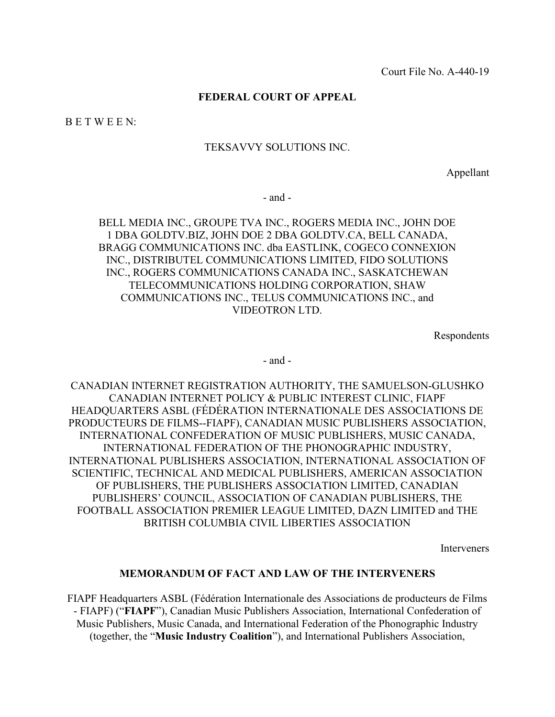## **FEDERAL COURT OF APPEAL**

B E T W E E N:

## TEKSAVVY SOLUTIONS INC.

Appellant

- and -

BELL MEDIA INC., GROUPE TVA INC., ROGERS MEDIA INC., JOHN DOE 1 DBA GOLDTV.BIZ, JOHN DOE 2 DBA GOLDTV.CA, BELL CANADA, BRAGG COMMUNICATIONS INC. dba EASTLINK, COGECO CONNEXION INC., DISTRIBUTEL COMMUNICATIONS LIMITED, FIDO SOLUTIONS INC., ROGERS COMMUNICATIONS CANADA INC., SASKATCHEWAN TELECOMMUNICATIONS HOLDING CORPORATION, SHAW COMMUNICATIONS INC., TELUS COMMUNICATIONS INC., and VIDEOTRON LTD.

Respondents

- and -

CANADIAN INTERNET REGISTRATION AUTHORITY, THE SAMUELSON-GLUSHKO CANADIAN INTERNET POLICY & PUBLIC INTEREST CLINIC, FIAPF HEADQUARTERS ASBL (FÉDÉRATION INTERNATIONALE DES ASSOCIATIONS DE PRODUCTEURS DE FILMS--FIAPF), CANADIAN MUSIC PUBLISHERS ASSOCIATION, INTERNATIONAL CONFEDERATION OF MUSIC PUBLISHERS, MUSIC CANADA, INTERNATIONAL FEDERATION OF THE PHONOGRAPHIC INDUSTRY, INTERNATIONAL PUBLISHERS ASSOCIATION, INTERNATIONAL ASSOCIATION OF SCIENTIFIC, TECHNICAL AND MEDICAL PUBLISHERS, AMERICAN ASSOCIATION OF PUBLISHERS, THE PUBLISHERS ASSOCIATION LIMITED, CANADIAN PUBLISHERS' COUNCIL, ASSOCIATION OF CANADIAN PUBLISHERS, THE FOOTBALL ASSOCIATION PREMIER LEAGUE LIMITED, DAZN LIMITED and THE BRITISH COLUMBIA CIVIL LIBERTIES ASSOCIATION

Interveners

## **MEMORANDUM OF FACT AND LAW OF THE INTERVENERS**

FIAPF Headquarters ASBL (Fédération Internationale des Associations de producteurs de Films - FIAPF) ("**FIAPF**"), Canadian Music Publishers Association, International Confederation of Music Publishers, Music Canada, and International Federation of the Phonographic Industry (together, the "**Music Industry Coalition**"), and International Publishers Association,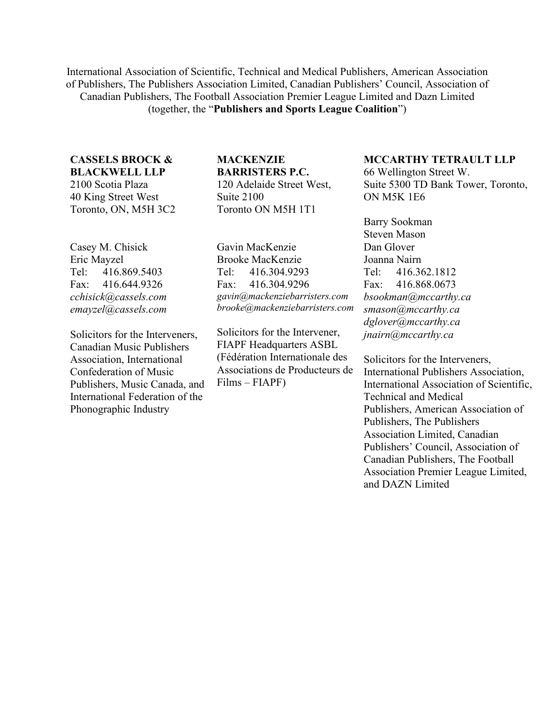International Association of Scientific, Technical and Medical Publishers, American Association of Publishers, The Publishers Association Limited, Canadian Publishers' Council, Association of Canadian Publishers, The Football Association Premier League Limited and Dazn Limited (together, the "**Publishers and Sports League Coalition**")

# **CASSELS BROCK & BLACKWELL LLP**

2100 Scotia Plaza 40 King Street West Toronto, ON, M5H 3C2

Casey M. Chisick Eric Mayzel Tel: 416.869.5403 Fax: 416.644.9326 *cchisick@cassels.com emayzel@cassels.com*

Solicitors for the Interveners, Canadian Music Publishers Association, International Confederation of Music Publishers, Music Canada, and International Federation of the Phonographic Industry

## **MACKENZIE BARRISTERS P.C.** 120 Adelaide Street West,

Suite 2100 Toronto ON M5H 1T1

Gavin MacKenzie Brooke MacKenzie Tel: 416.304.9293 Fax: 416.304.9296 *gavin@mackenziebarristers.com brooke@mackenziebarristers.com*

Solicitors for the Intervener, FIAPF Headquarters ASBL (Fédération Internationale des Associations de Producteurs de Films – FIAPF)

# **MCCARTHY TETRAULT LLP**

66 Wellington Street W. Suite 5300 TD Bank Tower, Toronto, ON M5K 1E6

Barry Sookman Steven Mason Dan Glover Joanna Nairn Tel: 416.362.1812 Fax: 416.868.0673 *bsookman@mccarthy.ca smason@mccarthy.ca dglover@mccarthy.ca jnairn@mccarthy.ca* 

Solicitors for the Interveners, International Publishers Association, International Association of Scientific, Technical and Medical Publishers, American Association of Publishers, The Publishers Association Limited, Canadian Publishers' Council, Association of Canadian Publishers, The Football Association Premier League Limited, and DAZN Limited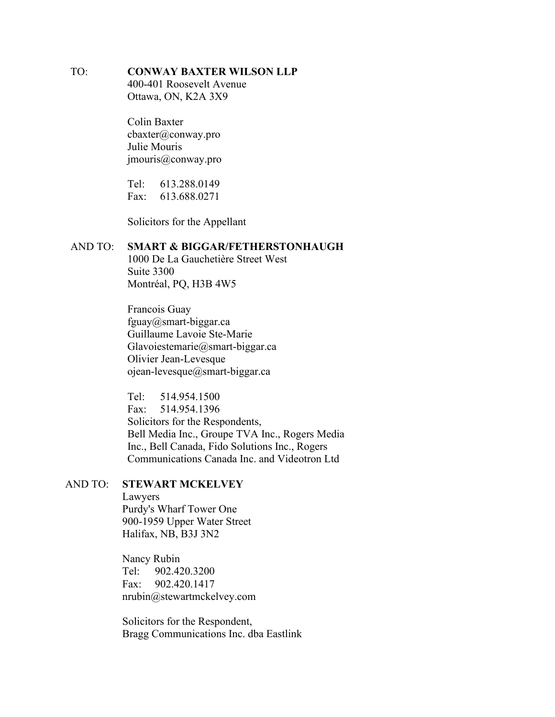# TO: **CONWAY BAXTER WILSON LLP**

400-401 Roosevelt Avenue Ottawa, ON, K2A 3X9

Colin Baxter cbaxter@conway.pro Julie Mouris jmouris@conway.pro

Tel: 613.288.0149 Fax: 613.688.0271

Solicitors for the Appellant

## AND TO: **SMART & BIGGAR/FETHERSTONHAUGH**

1000 De La Gauchetière Street West Suite 3300 Montréal, PQ, H3B 4W5

Francois Guay fguay@smart-biggar.ca Guillaume Lavoie Ste-Marie Glavoiestemarie@smart-biggar.ca Olivier Jean-Levesque ojean-levesque@smart-biggar.ca

Tel: 514.954.1500 Fax: 514.954.1396 Solicitors for the Respondents, Bell Media Inc., Groupe TVA Inc., Rogers Media Inc., Bell Canada, Fido Solutions Inc., Rogers Communications Canada Inc. and Videotron Ltd

# AND TO: **STEWART MCKELVEY**

Lawyers Purdy's Wharf Tower One 900-1959 Upper Water Street Halifax, NB, B3J 3N2

Nancy Rubin Tel: 902.420.3200 Fax: 902.420.1417 nrubin@stewartmckelvey.com

Solicitors for the Respondent, Bragg Communications Inc. dba Eastlink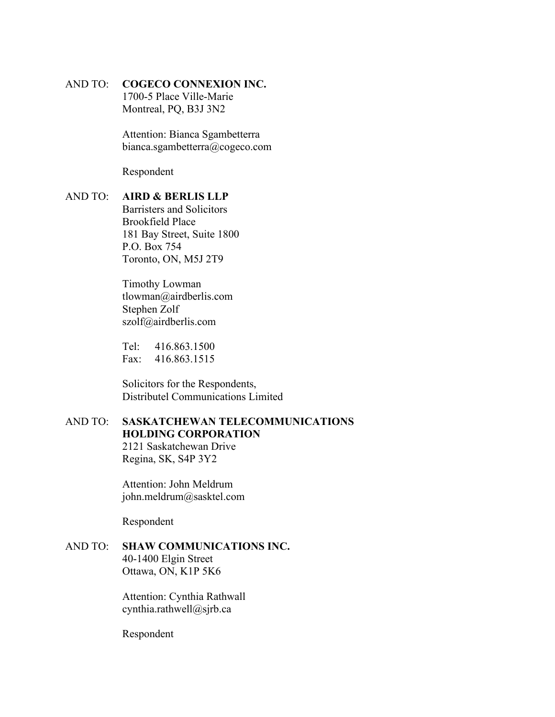# AND TO: **COGECO CONNEXION INC.**

1700-5 Place Ville-Marie Montreal, PQ, B3J 3N2

Attention: Bianca Sgambetterra bianca.sgambetterra@cogeco.com

Respondent

# AND TO: **AIRD & BERLIS LLP**

Barristers and Solicitors Brookfield Place 181 Bay Street, Suite 1800 P.O. Box 754 Toronto, ON, M5J 2T9

Timothy Lowman tlowman@airdberlis.com Stephen Zolf szolf@airdberlis.com

Tel: 416.863.1500 Fax: 416.863.1515

Solicitors for the Respondents, Distributel Communications Limited

# AND TO: **SASKATCHEWAN TELECOMMUNICATIONS HOLDING CORPORATION**

2121 Saskatchewan Drive Regina, SK, S4P 3Y2

Attention: John Meldrum john.meldrum@sasktel.com

Respondent

## AND TO: **SHAW COMMUNICATIONS INC.** 40-1400 Elgin Street Ottawa, ON, K1P 5K6

Attention: Cynthia Rathwall cynthia.rathwell@sjrb.ca

Respondent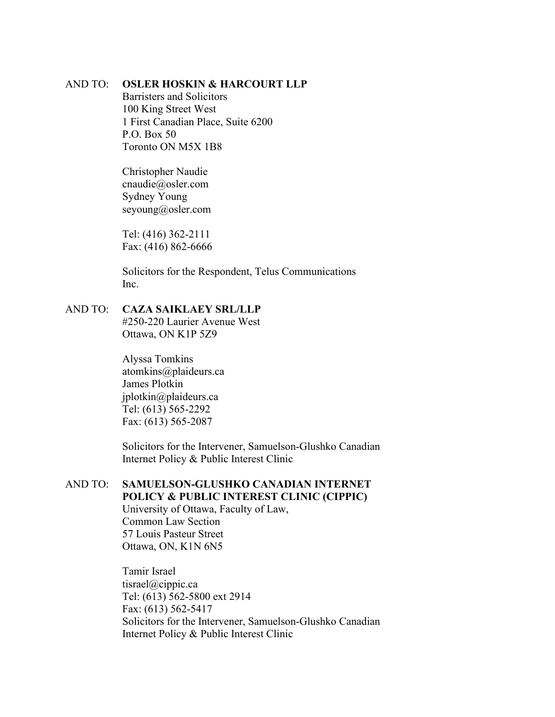## AND TO: **OSLER HOSKIN & HARCOURT LLP**

Barristers and Solicitors 100 King Street West 1 First Canadian Place, Suite 6200 P.O. Box 50 Toronto ON M5X 1B8

Christopher Naudie cnaudie@osler.com Sydney Young seyoung@osler.com

Tel: (416) 362-2111 Fax: (416) 862-6666

Solicitors for the Respondent, Telus Communications Inc.

# AND TO: **CAZA SAIKLAEY SRL/LLP**

#250-220 Laurier Avenue West Ottawa, ON K1P 5Z9

Alyssa Tomkins atomkins@plaideurs.ca James Plotkin jplotkin@plaideurs.ca Tel: (613) 565-2292 Fax: (613) 565-2087

Solicitors for the Intervener, Samuelson-Glushko Canadian Internet Policy & Public Interest Clinic

# AND TO: **SAMUELSON-GLUSHKO CANADIAN INTERNET POLICY & PUBLIC INTEREST CLINIC (CIPPIC)**

University of Ottawa, Faculty of Law, Common Law Section 57 Louis Pasteur Street Ottawa, ON, K1N 6N5

Tamir Israel tisrael@cippic.ca Tel: (613) 562-5800 ext 2914 Fax: (613) 562-5417 Solicitors for the Intervener, Samuelson-Glushko Canadian Internet Policy & Public Interest Clinic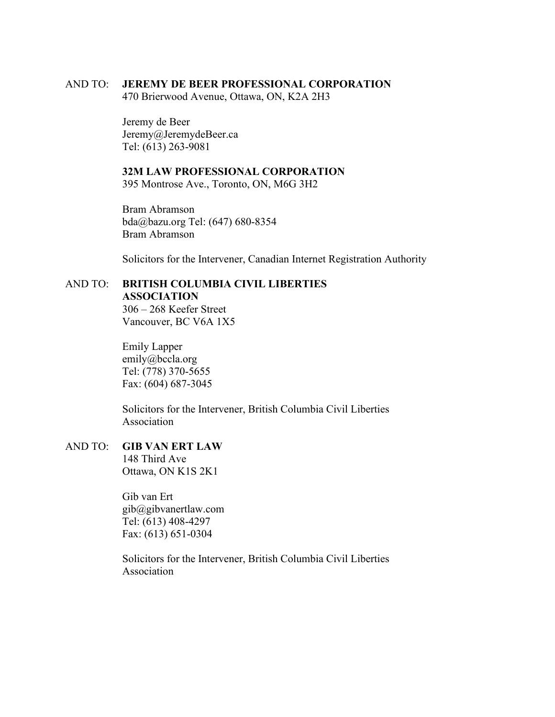## AND TO: **JEREMY DE BEER PROFESSIONAL CORPORATION**

470 Brierwood Avenue, Ottawa, ON, K2A 2H3

Jeremy de Beer Jeremy@JeremydeBeer.ca Tel: (613) 263-9081

# **32M LAW PROFESSIONAL CORPORATION**

395 Montrose Ave., Toronto, ON, M6G 3H2

Bram Abramson bda@bazu.org Tel: (647) 680-8354 Bram Abramson

Solicitors for the Intervener, Canadian Internet Registration Authority

# AND TO: **BRITISH COLUMBIA CIVIL LIBERTIES**

**ASSOCIATION**

306 – 268 Keefer Street Vancouver, BC V6A 1X5

Emily Lapper emily@bccla.org Tel: (778) 370-5655 Fax: (604) 687-3045

Solicitors for the Intervener, British Columbia Civil Liberties Association

### AND TO: **GIB VAN ERT LAW** 148 Third Ave

Ottawa, ON K1S 2K1

Gib van Ert gib@gibvanertlaw.com Tel: (613) 408-4297 Fax: (613) 651-0304

Solicitors for the Intervener, British Columbia Civil Liberties Association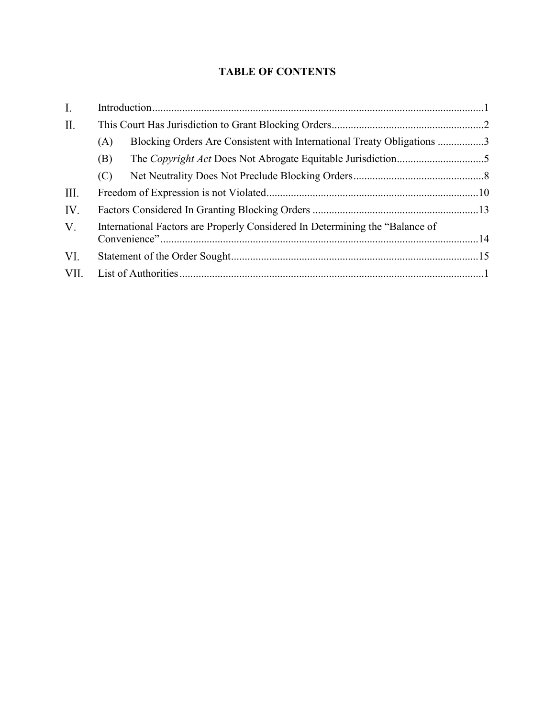# **TABLE OF CONTENTS**

| Ι.   |                                                                              |                                                                        |  |
|------|------------------------------------------------------------------------------|------------------------------------------------------------------------|--|
| П.   |                                                                              |                                                                        |  |
|      | (A)                                                                          | Blocking Orders Are Consistent with International Treaty Obligations 3 |  |
|      | (B)                                                                          |                                                                        |  |
|      | (C)                                                                          |                                                                        |  |
| III. |                                                                              |                                                                        |  |
| IV.  |                                                                              |                                                                        |  |
| V.   | International Factors are Properly Considered In Determining the "Balance of |                                                                        |  |
| VI.  |                                                                              |                                                                        |  |
| VII. |                                                                              |                                                                        |  |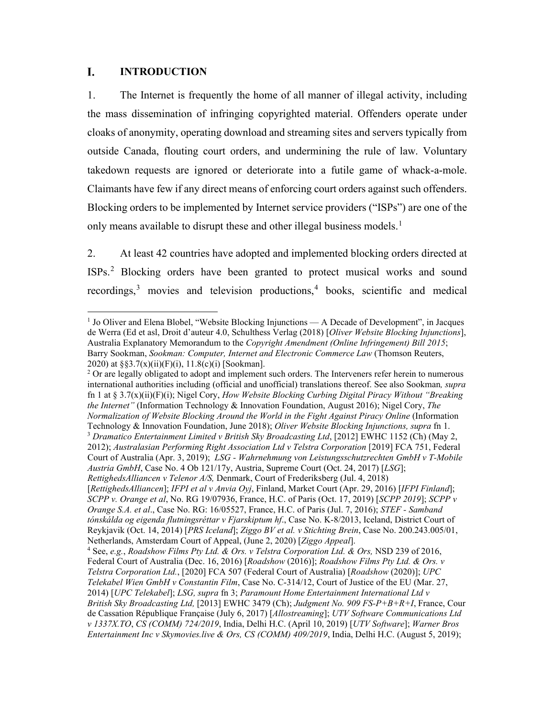### <span id="page-7-0"></span>L. **INTRODUCTION**

1. The Internet is frequently the home of all manner of illegal activity, including the mass dissemination of infringing copyrighted material. Offenders operate under cloaks of anonymity, operating download and streaming sites and servers typically from outside Canada, flouting court orders, and undermining the rule of law. Voluntary takedown requests are ignored or deteriorate into a futile game of whack-a-mole. Claimants have few if any direct means of enforcing court orders against such offenders. Blocking orders to be implemented by Internet service providers ("ISPs") are one of the only means available to disrupt these and other illegal business models.<sup>[1](#page-7-3)</sup>

<span id="page-7-1"></span>2. At least 42 countries have adopted and implemented blocking orders directed at ISPs.[2](#page-7-4) Blocking orders have been granted to protect musical works and sound recordings,<sup>[3](#page-7-5)</sup> movies and television productions,<sup>[4](#page-7-6)</sup> books, scientific and medical

*RettighedsAlliancen v Telenor A/S,* Denmark, Court of Frederiksberg (Jul. 4, 2018)

<span id="page-7-7"></span><span id="page-7-3"></span><span id="page-7-2"></span><sup>1</sup> Jo Oliver and Elena Blobel, "Website Blocking Injunctions — A Decade of Development", in Jacques de Werra (Ed et asl, Droit d'auteur 4.0, Schulthess Verlag (2018) [*Oliver Website Blocking Injunctions*], Australia Explanatory Memorandum to the *Copyright Amendment (Online Infringement) Bill 2015*; Barry Sookman, *Sookman: Computer, Internet and Electronic Commerce Law* (Thomson Reuters, 2020) at  $\S$  $3.7(x)(ii)(F)(i)$ , 11.8(c)(i) [Sookman].

<span id="page-7-4"></span> $2$  Or are legally obligated to adopt and implement such orders. The Interveners refer herein to numerous international authorities including (official and unofficial) translations thereof. See also Sookman*, supra* fn [1](#page-7-1) at § 3.7(x)(ii)(F)(i); Nigel Cory, *How Website Blocking Curbing Digital Piracy Without "Breaking the Internet"* (Information Technology & Innovation Foundation, August 2016); Nigel Cory, *The Normalization of Website Blocking Around the World in the Fight Against Piracy Online* (Information Technology & Innovation Foundation, June 2018); *Oliver Website Blocking Injunctions, supra* fn [1.](#page-7-1) <sup>3</sup> *Dramatico Entertainment Limited v British Sky Broadcasting Ltd*, [2012] EWHC 1152 (Ch) (May 2, 2012); *Australasian Performing Right Association Ltd v Telstra Corporation* [2019] FCA 751, Federal

<span id="page-7-5"></span>Court of Australia (Apr. 3, 2019); *LSG - Wahrnehmung von Leistungsschutzrechten GmbH v T-Mobile Austria GmbH*, Case No. 4 Ob 121/17y, Austria, Supreme Court (Oct. 24, 2017) [*LSG*];

<sup>[</sup>*RettighedsAlliancen*]; *IFPI et al v Anvia Oyj*, Finland, Market Court (Apr. 29, 2016) [*IFPI Finland*]; *SCPP v. Orange et al*, No. RG 19/07936, France, H.C. of Paris (Oct. 17, 2019) [*SCPP 2019*]; *SCPP v Orange S.A. et al*., Case No. RG: 16/05527, France, H.C. of Paris (Jul. 7, 2016); *STEF - Samband tónskálda og eigenda flutningsréttar v Fjarskiptum hf*., Case No. K-8/2013, Iceland, District Court of Reykjavik (Oct. 14, 2014) [*PRS Iceland*]; *Ziggo BV et al. v Stichting Brein*, Case No. 200.243.005/01, Netherlands, Amsterdam Court of Appeal, (June 2, 2020) [*Ziggo Appeal*].

<span id="page-7-6"></span><sup>4</sup> See, *e.g.*, *Roadshow Films Pty Ltd. & Ors. v Telstra Corporation Ltd. & Ors,* NSD 239 of 2016, Federal Court of Australia (Dec. 16, 2016) [*Roadshow* (2016)]; *Roadshow Films Pty Ltd. & Ors. v Telstra Corporation Ltd.*, [2020] FCA 507 (Federal Court of Australia) [*Roadshow* (2020)]; *UPC Telekabel Wien GmbH v Constantin Film*, Case No. C‑314/12, Court of Justice of the EU (Mar. 27, 2014) [*UPC Telekabel*]; *LSG, supra* f[n 3;](#page-7-2) *Paramount Home Entertainment International Ltd v British Sky Broadcasting Ltd,* [2013] EWHC 3479 (Ch); *Judgment No. 909 FS-P+B+R+I*, France, Cour de Cassation République Française (July 6, 2017) [*Allostreaming*]; *UTV Software Communications Ltd v 1337X.TO*, *CS (COMM) 724/2019*, India, Delhi H.C. (April 10, 2019) [*UTV Software*]; *Warner Bros Entertainment Inc v Skymovies.live & Ors, CS (COMM) 409/2019*, India, Delhi H.C. (August 5, 2019);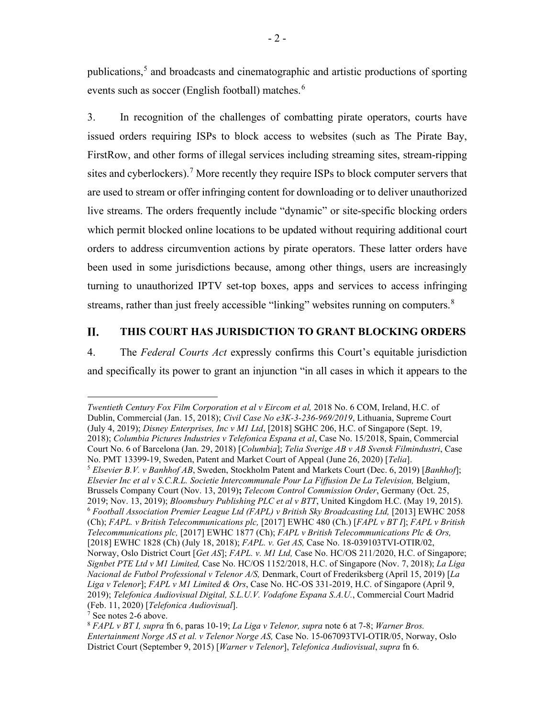<span id="page-8-7"></span><span id="page-8-1"></span>publications, [5](#page-8-2) and broadcasts and cinematographic and artistic productions of sporting events such as soccer (English football) matches.<sup>[6](#page-8-3)</sup>

3. In recognition of the challenges of combatting pirate operators, courts have issued orders requiring ISPs to block access to websites (such as The Pirate Bay, FirstRow, and other forms of illegal services including streaming sites, stream-ripping sites and cyberlockers).<sup>[7](#page-8-4)</sup> More recently they require ISPs to block computer servers that are used to stream or offer infringing content for downloading or to deliver unauthorized live streams. The orders frequently include "dynamic" or site-specific blocking orders which permit blocked online locations to be updated without requiring additional court orders to address circumvention actions by pirate operators. These latter orders have been used in some jurisdictions because, among other things, users are increasingly turning to unauthorized IPTV set-top boxes, apps and services to access infringing streams, rather than just freely accessible "linking" websites running on computers.<sup>[8](#page-8-5)</sup>

### <span id="page-8-6"></span><span id="page-8-0"></span>II. **THIS COURT HAS JURISDICTION TO GRANT BLOCKING ORDERS**

4. The *Federal Courts Act* expressly confirms this Court's equitable jurisdiction and specifically its power to grant an injunction "in all cases in which it appears to the

<span id="page-8-3"></span><span id="page-8-2"></span>*Twentieth Century Fox Film Corporation et al v Eircom et al,* 2018 No. 6 COM, Ireland, H.C. of Dublin, Commercial (Jan. 15, 2018); *Civil Case No e3K-3-236-969/2019*, Lithuania, Supreme Court (July 4, 2019); *Disney Enterprises, Inc v M1 Ltd*, [2018] SGHC 206, H.C. of Singapore (Sept. 19, 2018); *Columbia Pictures Industries v Telefonica Espana et al*, Case No. 15/2018, Spain, Commercial Court No. 6 of Barcelona (Jan. 29, 2018) [*Columbia*]; *Telia Sverige AB v AB Svensk Filmindustri*, Case No. PMT 13399-19, Sweden, Patent and Market Court of Appeal (June 26, 2020) [*Telia*]. <sup>5</sup> *Elsevier B.V. v Banhhof AB*, Sweden, Stockholm Patent and Markets Court (Dec. 6, 2019) [*Banhhof*]; *Elsevier Inc et al v S.C.R.L. Societie Intercommunale Pour La Fiffusion De La Television,* Belgium, Brussels Company Court (Nov. 13, 2019)**;** *Telecom Control Commission Order*, Germany (Oct. 25, 2019; Nov. 13, 2019); *Bloomsbury Publishing PLC et al v BTT*, United Kingdom H.C. (May 19, 2015). 6 *Football Association Premier League Ltd (FAPL) v British Sky Broadcasting Ltd,* [2013] EWHC 2058 (Ch); *FAPL. v British Telecommunications plc,* [2017] EWHC 480 (Ch.) [*FAPL v BT I*]; *FAPL v British Telecommunications plc,* [2017] EWHC 1877 (Ch); *FAPL v British Telecommunications Plc & Ors,*  [2018] EWHC 1828 (Ch) (July 18, 2018); *FAPL. v. Get AS,* Case No. 18-039103TVI-OTIR/02, Norway, Oslo District Court [*Get AS*]; *FAPL. v. M1 Ltd,* Case No. HC/OS 211/2020, H.C. of Singapore; *Signbet PTE Ltd v M1 Limited,* Case No. HC/OS 1152/2018, H.C. of Singapore (Nov. 7, 2018); *La Liga Nacional de Futbol Professional v Telenor A/S,* Denmark, Court of Frederiksberg (April 15, 2019) [*La Liga v Telenor*]; *FAPL v M1 Limited & Ors*, Case No. HC-OS 331-2019, H.C. of Singapore (April 9, 2019); *Telefonica Audiovisual Digital, S.L.U.V. Vodafone Espana S.A.U.*, Commercial Court Madrid (Feb. 11, 2020) [*Telefonica Audiovisual*].

<span id="page-8-4"></span><sup>7</sup> See notes 2-6 above.

<span id="page-8-5"></span><sup>8</sup> *FAPL v BT I, supra* fn [6,](#page-8-1) paras 10-19; *La Liga v Telenor, supra* note [6](#page-8-1) at 7-8; *Warner Bros. Entertainment Norge AS et al. v Telenor Norge AS,* Case No. 15-067093TVI-OTIR/05, Norway, Oslo District Court (September 9, 2015) [*Warner v Telenor*], *Telefonica Audiovisual*, *supra* fn [6.](#page-8-1)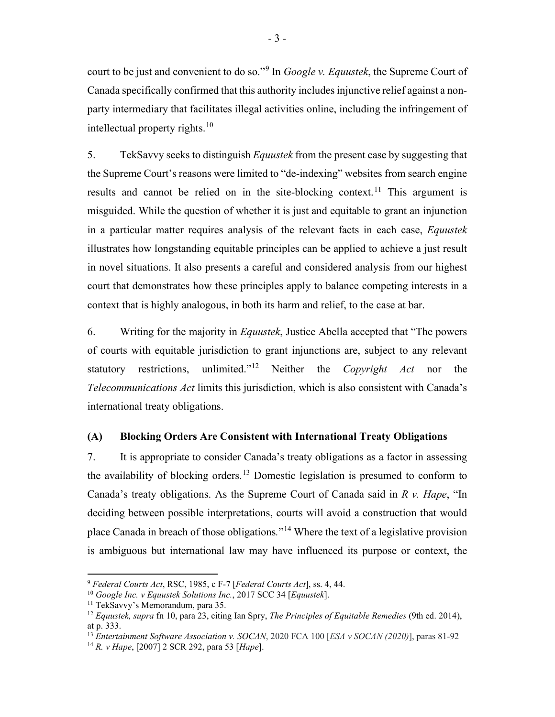court to be just and convenient to do so."[9](#page-9-2) In *Google v. Equustek*, the Supreme Court of Canada specifically confirmed that this authority includesinjunctive relief against a nonparty intermediary that facilitates illegal activities online, including the infringement of intellectual property rights. $10$ 

<span id="page-9-1"></span>5. TekSavvy seeks to distinguish *Equustek* from the present case by suggesting that the Supreme Court's reasons were limited to "de-indexing" websites from search engine results and cannot be relied on in the site-blocking context.<sup>[11](#page-9-4)</sup> This argument is misguided. While the question of whether it is just and equitable to grant an injunction in a particular matter requires analysis of the relevant facts in each case, *Equustek*  illustrates how longstanding equitable principles can be applied to achieve a just result in novel situations. It also presents a careful and considered analysis from our highest court that demonstrates how these principles apply to balance competing interests in a context that is highly analogous, in both its harm and relief, to the case at bar.

6. Writing for the majority in *Equustek*, Justice Abella accepted that "The powers of courts with equitable jurisdiction to grant injunctions are, subject to any relevant statutory restrictions, unlimited."[12](#page-9-5) Neither the *Copyright Act* nor the *Telecommunications Act* limits this jurisdiction, which is also consistent with Canada's international treaty obligations.

# <span id="page-9-0"></span>**(A) Blocking Orders Are Consistent with International Treaty Obligations**

<span id="page-9-8"></span>7. It is appropriate to consider Canada's treaty obligations as a factor in assessing the availability of blocking orders.<sup>[13](#page-9-6)</sup> Domestic legislation is presumed to conform to Canada's treaty obligations. As the Supreme Court of Canada said in *R v. Hape*, "In deciding between possible interpretations, courts will avoid a construction that would place Canada in breach of those obligations*.*"[14](#page-9-7) Where the text of a legislative provision is ambiguous but international law may have influenced its purpose or context, the

<span id="page-9-9"></span><span id="page-9-2"></span><sup>9</sup> *Federal Courts Act*, RSC, 1985, c F-7 [*Federal Courts Act*], ss. 4, 44.

<span id="page-9-3"></span><sup>10</sup> *Google Inc. v Equustek Solutions Inc.*, 2017 SCC 34 [*Equustek*].

<span id="page-9-4"></span><sup>&</sup>lt;sup>11</sup> TekSavvy's Memorandum, para 35.

<span id="page-9-5"></span><sup>12</sup> *Equustek, supra* fn [10,](#page-9-1) para 23, citing Ian Spry, *The Principles of Equitable Remedies* (9th ed. 2014), at p. 333.

<span id="page-9-6"></span><sup>13</sup> *Entertainment Software Association v. SOCAN*, 2020 FCA 100 [*ESA v SOCAN (2020)*], paras 81-92

<span id="page-9-7"></span><sup>14</sup> *R. v Hape*, [2007] 2 SCR 292, para 53 [*Hape*].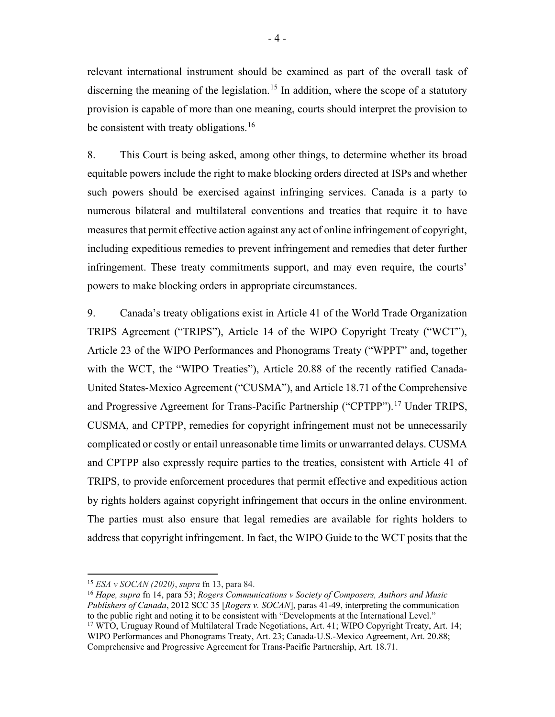relevant international instrument should be examined as part of the overall task of discerning the meaning of the legislation.<sup>[15](#page-10-0)</sup> In addition, where the scope of a statutory provision is capable of more than one meaning, courts should interpret the provision to be consistent with treaty obligations.<sup>[16](#page-10-1)</sup>

<span id="page-10-4"></span>8. This Court is being asked, among other things, to determine whether its broad equitable powers include the right to make blocking orders directed at ISPs and whether such powers should be exercised against infringing services. Canada is a party to numerous bilateral and multilateral conventions and treaties that require it to have measures that permit effective action against any act of online infringement of copyright, including expeditious remedies to prevent infringement and remedies that deter further infringement. These treaty commitments support, and may even require, the courts' powers to make blocking orders in appropriate circumstances.

<span id="page-10-3"></span>9. Canada's treaty obligations exist in Article 41 of the World Trade Organization TRIPS Agreement ("TRIPS"), Article 14 of the WIPO Copyright Treaty ("WCT"), Article 23 of the WIPO Performances and Phonograms Treaty ("WPPT" and, together with the WCT, the "WIPO Treaties"), Article 20.88 of the recently ratified Canada-United States-Mexico Agreement ("CUSMA"), and Article 18.71 of the Comprehensive and Progressive Agreement for Trans-Pacific Partnership ("CPTPP").<sup>[17](#page-10-2)</sup> Under TRIPS, CUSMA, and CPTPP, remedies for copyright infringement must not be unnecessarily complicated or costly or entail unreasonable time limits or unwarranted delays. CUSMA and CPTPP also expressly require parties to the treaties, consistent with Article 41 of TRIPS, to provide enforcement procedures that permit effective and expeditious action by rights holders against copyright infringement that occurs in the online environment. The parties must also ensure that legal remedies are available for rights holders to address that copyright infringement. In fact, the WIPO Guide to the WCT posits that the

<span id="page-10-2"></span><span id="page-10-1"></span><sup>16</sup> *Hape, supra* fn [14,](#page-9-9) para 53; *Rogers Communications v Society of Composers, Authors and Music Publishers of Canada*, 2012 SCC 35 [*Rogers v. SOCAN*], paras 41-49, interpreting the communication to the public right and noting it to be consistent with "Developments at the International Level." 17 WTO, Uruguay Round of Multilateral Trade Negotiations, Art. 41; WIPO Copyright Treaty, Art. 14; WIPO Performances and Phonograms Treaty, Art. 23; Canada-U.S.-Mexico Agreement, Art. 20.88; Comprehensive and Progressive Agreement for Trans-Pacific Partnership, Art. 18.71.

<span id="page-10-0"></span><sup>15</sup> *ESA v SOCAN (2020)*, *supra* fn [13,](#page-9-8) para 84.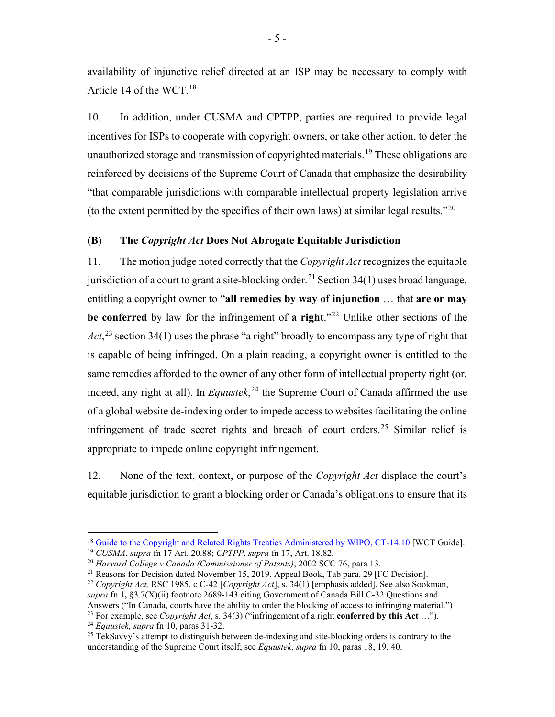<span id="page-11-9"></span>availability of injunctive relief directed at an ISP may be necessary to comply with Article 14 of the WCT.<sup>18</sup>

10. In addition, under CUSMA and CPTPP, parties are required to provide legal incentives for ISPs to cooperate with copyright owners, or take other action, to deter the unauthorized storage and transmission of copyrighted materials.<sup>[19](#page-11-2)</sup> These obligations are reinforced by decisions of the Supreme Court of Canada that emphasize the desirability "that comparable jurisdictions with comparable intellectual property legislation arrive (to the extent permitted by the specifics of their own laws) at similar legal results." $^{20}$  $^{20}$  $^{20}$ 

## <span id="page-11-0"></span>**(B) The** *Copyright Act* **Does Not Abrogate Equitable Jurisdiction**

11. The motion judge noted correctly that the *Copyright Act* recognizes the equitable jurisdiction of a court to grant a site-blocking order.<sup>[21](#page-11-4)</sup> Section 34(1) uses broad language, entitling a copyright owner to "**all remedies by way of injunction** … that **are or may be conferred** by law for the infringement of **a right**."[22](#page-11-5) Unlike other sections of the Act,<sup>[23](#page-11-6)</sup> section 34(1) uses the phrase "a right" broadly to encompass any type of right that is capable of being infringed. On a plain reading, a copyright owner is entitled to the same remedies afforded to the owner of any other form of intellectual property right (or, indeed, any right at all). In *Equustek*, [24](#page-11-7) the Supreme Court of Canada affirmed the use of a global website de-indexing order to impede access to websites facilitating the online infringement of trade secret rights and breach of court orders.<sup>[25](#page-11-8)</sup> Similar relief is appropriate to impede online copyright infringement.

12. None of the text, context, or purpose of the *Copyright Act* displace the court's equitable jurisdiction to grant a blocking order or Canada's obligations to ensure that its

<span id="page-11-1"></span><sup>&</sup>lt;sup>18</sup> [Guide to the Copyright and Related Rights Treaties Administered by WIPO, CT-14.10](https://www.wipo.int/edocs/pubdocs/en/copyright/891/wipo_pub_891.pdf) [WCT Guide].<br><sup>19</sup> CUSMA, supra fn 17 Art. 20.88; CPTPP, supra fn 17, Art. 18.82.

<span id="page-11-3"></span><span id="page-11-2"></span><sup>&</sup>lt;sup>20</sup> *Harvard College v Canada (Commissioner of Patents)*, 2002 SCC 76, para 13.

<span id="page-11-4"></span><sup>&</sup>lt;sup>21</sup> Reasons for Decision dated November 15, 2019, Appeal Book, Tab para. 29 [FC Decision].

<span id="page-11-5"></span><sup>22</sup> *Copyright Act,* RSC 1985, c C-42 [*Copyright Act*], s. 34(1) [emphasis added]. See also Sookman, *supra* f[n 1](#page-7-1)**,** §3.7(X)(ii) footnote 2689-143 citing Government of Canada Bill C-32 Questions and Answers ("In Canada, courts have the ability to order the blocking of access to infringing material.")

<span id="page-11-7"></span><span id="page-11-6"></span><sup>23</sup> For example, see *Copyright Act*, s. 34(3) ("infringement of a right **conferred by this Act** …"). 24 *Equustek, supra* fn [10,](#page-9-1) paras 31-32.

<span id="page-11-8"></span><sup>&</sup>lt;sup>25</sup> TekSavvy's attempt to distinguish between de-indexing and site-blocking orders is contrary to the understanding of the Supreme Court itself; see *Equustek*, *supra* fn [10,](#page-9-1) paras 18, 19, 40.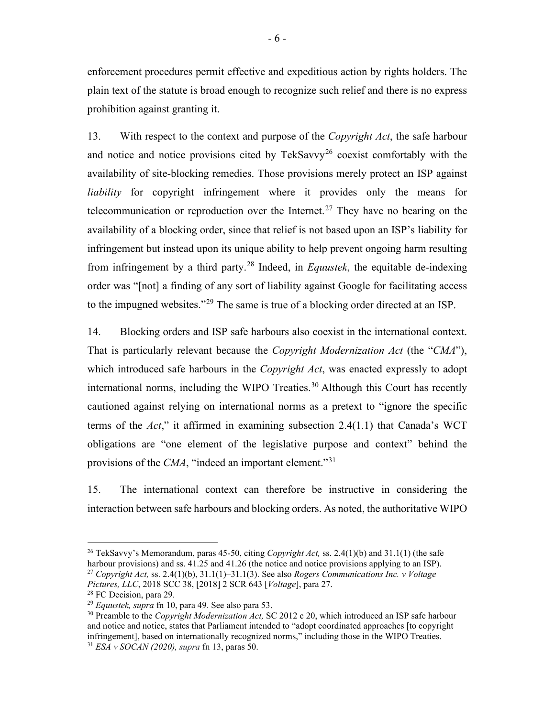enforcement procedures permit effective and expeditious action by rights holders. The plain text of the statute is broad enough to recognize such relief and there is no express prohibition against granting it.

<span id="page-12-6"></span>13. With respect to the context and purpose of the *Copyright Act*, the safe harbour and notice and notice provisions cited by  $TekSavvv^{26}$  $TekSavvv^{26}$  $TekSavvv^{26}$  coexist comfortably with the availability of site-blocking remedies. Those provisions merely protect an ISP against *liability* for copyright infringement where it provides only the means for telecommunication or reproduction over the Internet.<sup>[27](#page-12-1)</sup> They have no bearing on the availability of a blocking order, since that relief is not based upon an ISP's liability for infringement but instead upon its unique ability to help prevent ongoing harm resulting from infringement by a third party.[28](#page-12-2) Indeed, in *Equustek*, the equitable de-indexing order was "[not] a finding of any sort of liability against Google for facilitating access to the impugned websites."[29](#page-12-3) The same is true of a blocking order directed at an ISP.

14. Blocking orders and ISP safe harbours also coexist in the international context. That is particularly relevant because the *Copyright Modernization Act* (the "*CMA*"), which introduced safe harbours in the *Copyright Act*, was enacted expressly to adopt international norms, including the WIPO Treaties. [30](#page-12-4) Although this Court has recently cautioned against relying on international norms as a pretext to "ignore the specific terms of the *Act*," it affirmed in examining subsection 2.4(1.1) that Canada's WCT obligations are "one element of the legislative purpose and context" behind the provisions of the *CMA*, "indeed an important element."[31](#page-12-5)

15. The international context can therefore be instructive in considering the interaction between safe harbours and blocking orders. As noted, the authoritative WIPO

<span id="page-12-0"></span><sup>26</sup> TekSavvy's Memorandum, paras 45-50, citing *Copyright Act,* ss. 2.4(1)(b) and 31.1(1) (the safe harbour provisions) and ss.  $41.25$  and  $41.26$  (the notice and notice provisions applying to an ISP). <sup>27</sup> *Copyright Act,* ss. 2.4(1)(b), 31.1(1)–31.1(3). See also *Rogers Communications Inc. v Voltage Pictures, LLC*, 2018 SCC 38, [2018] 2 SCR 643 [*Voltage*], para 27.

<span id="page-12-2"></span><span id="page-12-1"></span><sup>&</sup>lt;sup>28</sup> FC Decision, para 29.

<span id="page-12-3"></span><sup>29</sup> *Equustek, supra* fn [10,](#page-9-1) para 49. See also para 53.

<span id="page-12-5"></span><span id="page-12-4"></span><sup>30</sup> Preamble to the *Copyright Modernization Act,* SC 2012 c 20, which introduced an ISP safe harbour and notice and notice, states that Parliament intended to "adopt coordinated approaches [to copyright infringement], based on internationally recognized norms," including those in the WIPO Treaties. 31 *ESA v SOCAN (2020), supra* fn [13,](#page-9-8) paras 50.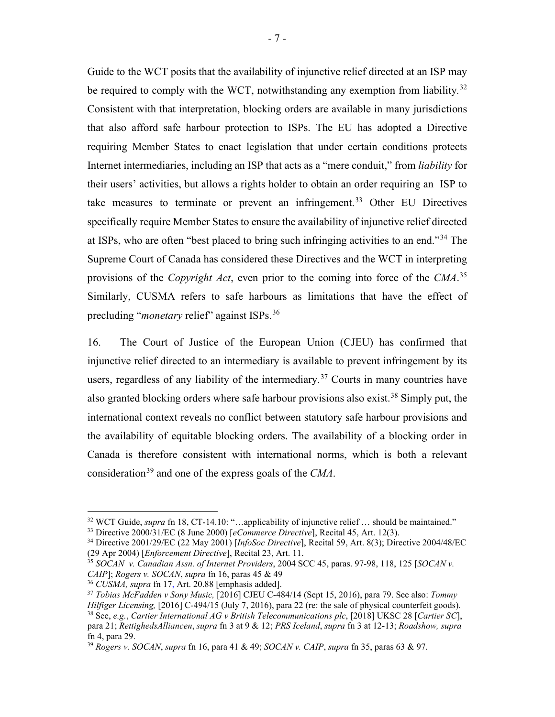Guide to the WCT posits that the availability of injunctive relief directed at an ISP may be required to comply with the WCT, notwithstanding any exemption from liability*.* [32](#page-13-1) Consistent with that interpretation, blocking orders are available in many jurisdictions that also afford safe harbour protection to ISPs. The EU has adopted a Directive requiring Member States to enact legislation that under certain conditions protects Internet intermediaries, including an ISP that acts as a "mere conduit," from *liability* for their users' activities, but allows a rights holder to obtain an order requiring an ISP to take measures to terminate or prevent an infringement.<sup>[33](#page-13-2)</sup> Other EU Directives specifically require Member States to ensure the availability of injunctive relief directed at ISPs, who are often "best placed to bring such infringing activities to an end."[34](#page-13-3) The Supreme Court of Canada has considered these Directives and the WCT in interpreting provisions of the *Copyright Act*, even prior to the coming into force of the *CMA*. [35](#page-13-4) Similarly, CUSMA refers to safe harbours as limitations that have the effect of precluding "*monetary* relief" against ISPs.[36](#page-13-5)

<span id="page-13-9"></span><span id="page-13-0"></span>16. The Court of Justice of the European Union (CJEU) has confirmed that injunctive relief directed to an intermediary is available to prevent infringement by its users, regardless of any liability of the intermediary.<sup>[37](#page-13-6)</sup> Courts in many countries have also granted blocking orders where safe harbour provisions also exist. [38](#page-13-7) Simply put, the international context reveals no conflict between statutory safe harbour provisions and the availability of equitable blocking orders. The availability of a blocking order in Canada is therefore consistent with international norms, which is both a relevant consideration[39](#page-13-8) and one of the express goals of the *CMA*.

<span id="page-13-2"></span><span id="page-13-1"></span><sup>&</sup>lt;sup>32</sup> WCT Guide, *supra* fn [18,](#page-11-9) CT-14.10: "...applicability of injunctive relief ... should be maintained." <sup>33</sup> Directive 2000/31/EC (8 June 2000) [*eCommerce Directive*], Recital 45, Art. 12(3).

<span id="page-13-3"></span><sup>34</sup> Directive 2001/29/EC (22 May 2001) [*InfoSoc Directive*], Recital 59, Art. 8(3); Directive 2004/48/EC (29 Apr 2004) [*Enforcement Directive*], Recital 23, Art. 11.

<span id="page-13-4"></span><sup>35</sup> *SOCAN v. Canadian Assn. of Internet Providers*, 2004 SCC 45, paras. 97-98, 118, 125 [*SOCAN v. CAIP*]; *Rogers v. SOCAN*, *supra* fn [16,](#page-10-4) paras 45 & 49

<span id="page-13-5"></span><sup>36</sup> *CUSMA, supra* fn [17,](#page-10-3) Art. 20.88 [emphasis added].

<span id="page-13-7"></span><span id="page-13-6"></span><sup>37</sup> *Tobias McFadden v Sony Music,* [2016] CJEU C‑484/14 (Sept 15, 2016), para 79. See also: *Tommy Hilfiger Licensing,* [2016] C-494/15 (July 7, 2016), para 22 (re: the sale of physical counterfeit goods). <sup>38</sup> See, *e.g.*, *Cartier International AG v British Telecommunications plc*, [2018] UKSC 28 [*Cartier SC*], para 21; *RettighedsAlliancen*, *supra* fn [3](#page-7-2) at 9 & 12; *PRS Iceland*, *supra* fn [3](#page-7-2) at 12-13; *Roadshow, supra* fn [4,](#page-7-7) para 29.

<span id="page-13-8"></span><sup>39</sup> *Rogers v. SOCAN*, *supra* f[n 16,](#page-10-4) para 41 & 49; *SOCAN v. CAIP*, *supra* fn [35,](#page-13-0) paras 63 & 97.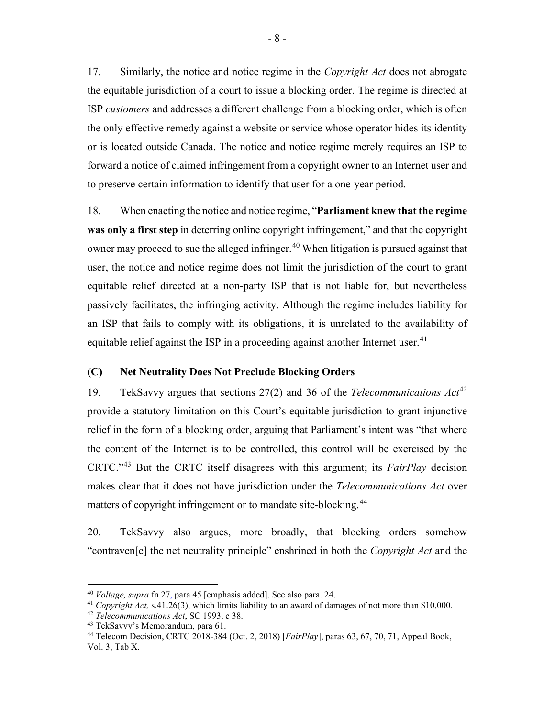17. Similarly, the notice and notice regime in the *Copyright Act* does not abrogate the equitable jurisdiction of a court to issue a blocking order. The regime is directed at ISP *customers* and addresses a different challenge from a blocking order, which is often the only effective remedy against a website or service whose operator hides its identity or is located outside Canada. The notice and notice regime merely requires an ISP to forward a notice of claimed infringement from a copyright owner to an Internet user and to preserve certain information to identify that user for a one-year period.

18. When enacting the notice and notice regime, "**Parliament knew that the regime was only a first step** in deterring online copyright infringement," and that the copyright owner may proceed to sue the alleged infringer.<sup>[40](#page-14-1)</sup> When litigation is pursued against that user, the notice and notice regime does not limit the jurisdiction of the court to grant equitable relief directed at a non-party ISP that is not liable for, but nevertheless passively facilitates, the infringing activity. Although the regime includes liability for an ISP that fails to comply with its obligations, it is unrelated to the availability of equitable relief against the ISP in a proceeding against another Internet user. $41$ 

## <span id="page-14-0"></span>**(C) Net Neutrality Does Not Preclude Blocking Orders**

19. TekSavvy argues that sections 27(2) and 36 of the *Telecommunications Act*[42](#page-14-3) provide a statutory limitation on this Court's equitable jurisdiction to grant injunctive relief in the form of a blocking order, arguing that Parliament's intent was "that where the content of the Internet is to be controlled, this control will be exercised by the CRTC."[43](#page-14-4) But the CRTC itself disagrees with this argument; its *FairPlay* decision makes clear that it does not have jurisdiction under the *Telecommunications Act* over matters of copyright infringement or to mandate site-blocking.[44](#page-14-5)

20. TekSavvy also argues, more broadly, that blocking orders somehow "contraven[e] the net neutrality principle" enshrined in both the *Copyright Act* and the

<span id="page-14-2"></span><span id="page-14-1"></span><sup>40</sup> *Voltage, supra* fn 27, para 45 [emphasis added]. See also para. 24. 41 *Copyright Act,* s.41.26(3), which limits liability to an award of damages of not more than \$10,000.

<span id="page-14-3"></span><sup>42</sup> *Telecommunications Act*, SC 1993, c 38.

<span id="page-14-4"></span><sup>43</sup> TekSavvy's Memorandum, para 61.

<span id="page-14-5"></span><sup>44</sup> Telecom Decision, CRTC 2018-384 (Oct. 2, 2018) [*FairPlay*], paras 63, 67, 70, 71, Appeal Book, Vol. 3, Tab X.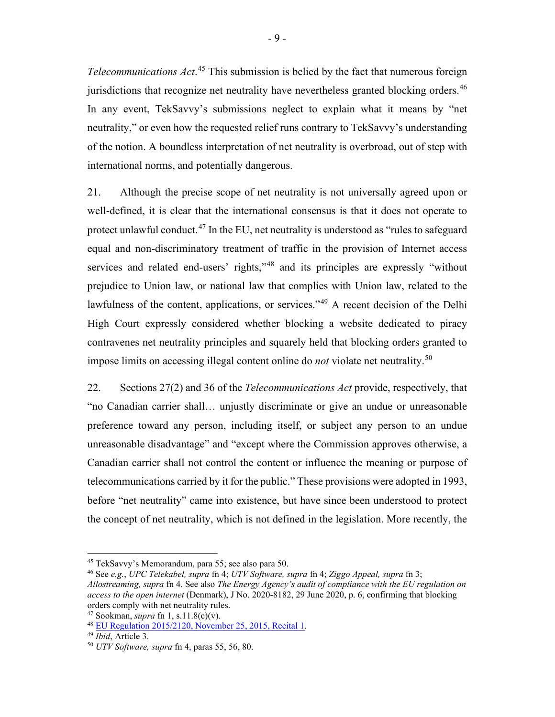*Telecommunications Act*. [45](#page-15-0) This submission is belied by the fact that numerous foreign jurisdictions that recognize net neutrality have nevertheless granted blocking orders.<sup>[46](#page-15-1)</sup> In any event, TekSavvy's submissions neglect to explain what it means by "net neutrality," or even how the requested relief runs contrary to TekSavvy's understanding of the notion. A boundless interpretation of net neutrality is overbroad, out of step with international norms, and potentially dangerous.

21. Although the precise scope of net neutrality is not universally agreed upon or well-defined, it is clear that the international consensus is that it does not operate to protect unlawful conduct.<sup>[47](#page-15-2)</sup> In the EU, net neutrality is understood as "rules to safeguard equal and non-discriminatory treatment of traffic in the provision of Internet access services and related end-users' rights,"<sup>[48](#page-15-3)</sup> and its principles are expressly "without prejudice to Union law, or national law that complies with Union law, related to the lawfulness of the content, applications, or services."[49](#page-15-4) A recent decision of the Delhi High Court expressly considered whether blocking a website dedicated to piracy contravenes net neutrality principles and squarely held that blocking orders granted to impose limits on accessing illegal content online do *not* violate net neutrality. [50](#page-15-5)

22. Sections 27(2) and 36 of the *Telecommunications Act* provide, respectively, that "no Canadian carrier shall… unjustly discriminate or give an undue or unreasonable preference toward any person, including itself, or subject any person to an undue unreasonable disadvantage" and "except where the Commission approves otherwise, a Canadian carrier shall not control the content or influence the meaning or purpose of telecommunications carried by it for the public." These provisions were adopted in 1993, before "net neutrality" came into existence, but have since been understood to protect the concept of net neutrality, which is not defined in the legislation. More recently, the

<span id="page-15-0"></span><sup>45</sup> TekSavvy's Memorandum, para 55; see also para 50.

<span id="page-15-1"></span><sup>46</sup> See *e.g.*, *UPC Telekabel, supra* fn [4;](#page-7-7) *UTV Software, supra* f[n 4;](#page-7-7) *Ziggo Appeal, supra* fn [3;](#page-7-2) *Allostreaming, supra* fn [4.](#page-7-7) See also *The Energy Agency's audit of compliance with the EU regulation on access to the open internet* (Denmark), J No. 2020-8182, 29 June 2020, p. 6, confirming that blocking orders comply with net neutrality rules.

<span id="page-15-3"></span><span id="page-15-2"></span>

<sup>47</sup> Sookman, *supra* fn [1,](#page-7-1) s.11.8(c)(v). 48 [EU Regulation 2015/2120, November 25, 2015, Recital 1.](http://eur-lex.europa.eu/legal-content/EN/TXT/HTML/?uri=CELEX:32015R2120&from=en) 49 *Ibid*, Article 3.

<span id="page-15-4"></span>

<span id="page-15-5"></span><sup>50</sup> *UTV Software, supra* f[n 4,](#page-7-7) paras 55, 56, 80.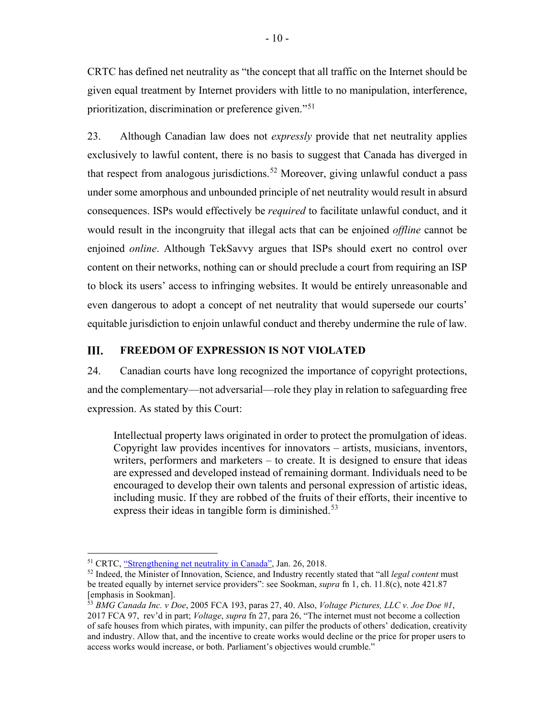CRTC has defined net neutrality as "the concept that all traffic on the Internet should be given equal treatment by Internet providers with little to no manipulation, interference, prioritization, discrimination or preference given."[51](#page-16-1)

23. Although Canadian law does not *expressly* provide that net neutrality applies exclusively to lawful content, there is no basis to suggest that Canada has diverged in that respect from analogous jurisdictions.<sup>[52](#page-16-2)</sup> Moreover, giving unlawful conduct a pass under some amorphous and unbounded principle of net neutrality would result in absurd consequences. ISPs would effectively be *required* to facilitate unlawful conduct, and it would result in the incongruity that illegal acts that can be enjoined *offline* cannot be enjoined *online*. Although TekSavvy argues that ISPs should exert no control over content on their networks, nothing can or should preclude a court from requiring an ISP to block its users' access to infringing websites. It would be entirely unreasonable and even dangerous to adopt a concept of net neutrality that would supersede our courts' equitable jurisdiction to enjoin unlawful conduct and thereby undermine the rule of law.

### <span id="page-16-0"></span>III. **FREEDOM OF EXPRESSION IS NOT VIOLATED**

24. Canadian courts have long recognized the importance of copyright protections, and the complementary—not adversarial—role they play in relation to safeguarding free expression. As stated by this Court:

Intellectual property laws originated in order to protect the promulgation of ideas. Copyright law provides incentives for innovators – artists, musicians, inventors, writers, performers and marketers – to create. It is designed to ensure that ideas are expressed and developed instead of remaining dormant. Individuals need to be encouraged to develop their own talents and personal expression of artistic ideas, including music. If they are robbed of the fruits of their efforts, their incentive to express their ideas in tangible form is diminished.<sup>[53](#page-16-3)</sup>

<span id="page-16-2"></span><span id="page-16-1"></span><sup>&</sup>lt;sup>51</sup> CRTC, <u>"Strengthening net neutrality in Canada"</u>, Jan. 26, 2018.<br><sup>52</sup> Indeed, the Minister of Innovation, Science, and Industry recently stated that "all *legal content* must be treated equally by internet service providers": see Sookman, *supra* fn [1,](#page-7-1) ch. 11.8(c), note 421.87 [emphasis in Sookman].

<span id="page-16-3"></span><sup>53</sup> *BMG Canada Inc. v Doe*, 2005 FCA 193, paras 27, 40. Also, *Voltage Pictures, LLC v. Joe Doe #1*, 2017 FCA 97, rev'd in part; *Voltage*, *supra* fn [27,](#page-12-6) para 26, "The internet must not become a collection of safe houses from which pirates, with impunity, can pilfer the products of others' dedication, creativity and industry. Allow that, and the incentive to create works would decline or the price for proper users to access works would increase, or both. Parliament's objectives would crumble."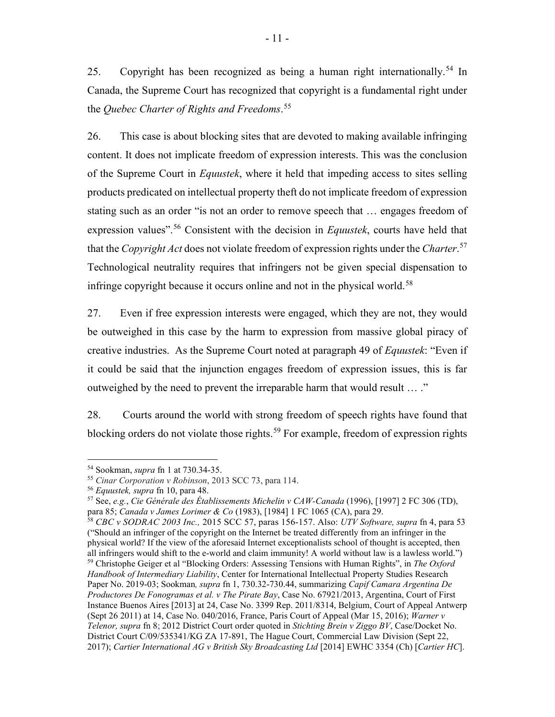<span id="page-17-8"></span>25. Copyright has been recognized as being a human right internationally.<sup>[54](#page-17-0)</sup> In Canada, the Supreme Court has recognized that copyright is a fundamental right under the *Quebec Charter of Rights and Freedoms*. [55](#page-17-1)

26. This case is about blocking sites that are devoted to making available infringing content. It does not implicate freedom of expression interests. This was the conclusion of the Supreme Court in *Equustek*, where it held that impeding access to sites selling products predicated on intellectual property theft do not implicate freedom of expression stating such as an order "is not an order to remove speech that … engages freedom of expression values".<sup>[56](#page-17-2)</sup> Consistent with the decision in *Equustek*, courts have held that that the *Copyright Act* does not violate freedom of expression rights under the *Charter*. [57](#page-17-3) Technological neutrality requires that infringers not be given special dispensation to infringe copyright because it occurs online and not in the physical world.<sup>[58](#page-17-4)</sup>

<span id="page-17-6"></span>27. Even if free expression interests were engaged, which they are not, they would be outweighed in this case by the harm to expression from massive global piracy of creative industries. As the Supreme Court noted at paragraph 49 of *Equustek*: "Even if it could be said that the injunction engages freedom of expression issues, this is far outweighed by the need to prevent the irreparable harm that would result … ."

<span id="page-17-7"></span>28. Courts around the world with strong freedom of speech rights have found that blocking orders do not violate those rights.<sup>[59](#page-17-5)</sup> For example, freedom of expression rights

<span id="page-17-0"></span><sup>54</sup> Sookman, *supra* fn [1](#page-7-1) at 730.34-35.

<span id="page-17-1"></span><sup>55</sup> *Cinar Corporation v Robinson*, 2013 SCC 73, para 114. 56 *Equustek, supra* fn [10,](#page-9-1) para 48.

<span id="page-17-3"></span><span id="page-17-2"></span><sup>57</sup> See, *e.g.*, *Cie Générale des Établissements Michelin v CAW-Canada* (1996), [1997] 2 FC 306 (TD), para 85; *Canada v James Lorimer & Co* (1983), [1984] 1 FC 1065 (CA), para 29. 58 *CBC v SODRAC 2003 Inc.,* 2015 SCC 57, paras 156-157. Also: *UTV Software, supra* fn [4,](#page-7-7) para 53

<span id="page-17-5"></span><span id="page-17-4"></span><sup>(&</sup>quot;Should an infringer of the copyright on the Internet be treated differently from an infringer in the physical world? If the view of the aforesaid Internet exceptionalists school of thought is accepted, then all infringers would shift to the e-world and claim immunity! A world without law is a lawless world.") <sup>59</sup> Christophe Geiger et al "Blocking Orders: Assessing Tensions with Human Rights", in *The Oxford Handbook of Intermediary Liability*, Center for International Intellectual Property Studies Research Paper No. 2019-03; Sookman*, supra* f[n 1,](#page-7-1) 730.32-730.44, summarizing *Capif Camara Argentina De Productores De Fonogramas et al. v The Pirate Bay*, Case No. 67921/2013, Argentina, Court of First Instance Buenos Aires [2013] at 24, Case No. 3399 Rep. 2011/8314, Belgium, Court of Appeal Antwerp (Sept 26 2011) at 14, Case No. 040/2016, France, Paris Court of Appeal (Mar 15, 2016); *Warner v Telenor, supra* f[n 8;](#page-8-6) 2012 District Court order quoted in *Stichting Brein v Ziggo BV*, Case/Docket No. District Court C/09/535341/KG ZA 17-891, The Hague Court, Commercial Law Division (Sept 22, 2017); *Cartier International AG v British Sky Broadcasting Ltd* [2014] EWHC 3354 (Ch) [*Cartier HC*].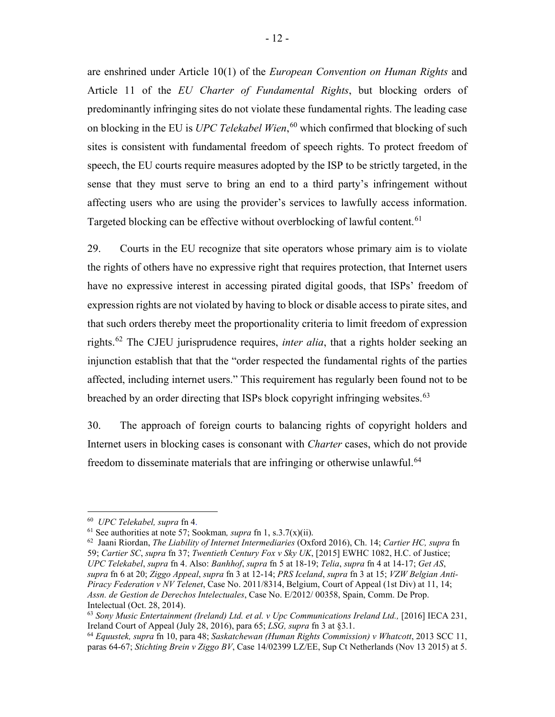are enshrined under Article 10(1) of the *European Convention on Human Rights* and Article 11 of the *EU Charter of Fundamental Rights*, but blocking orders of predominantly infringing sites do not violate these fundamental rights. The leading case on blocking in the EU is *UPC Telekabel Wien*, [60](#page-18-0) which confirmed that blocking of such sites is consistent with fundamental freedom of speech rights. To protect freedom of speech, the EU courts require measures adopted by the ISP to be strictly targeted, in the sense that they must serve to bring an end to a third party's infringement without affecting users who are using the provider's services to lawfully access information. Targeted blocking can be effective without overblocking of lawful content.<sup>[61](#page-18-1)</sup>

29. Courts in the EU recognize that site operators whose primary aim is to violate the rights of others have no expressive right that requires protection, that Internet users have no expressive interest in accessing pirated digital goods, that ISPs' freedom of expression rights are not violated by having to block or disable access to pirate sites, and that such orders thereby meet the proportionality criteria to limit freedom of expression rights.[62](#page-18-2) The CJEU jurisprudence requires, *inter alia*, that a rights holder seeking an injunction establish that that the "order respected the fundamental rights of the parties affected, including internet users." This requirement has regularly been found not to be breached by an order directing that ISPs block copyright infringing websites.<sup>[63](#page-18-3)</sup>

<span id="page-18-5"></span>30. The approach of foreign courts to balancing rights of copyright holders and Internet users in blocking cases is consonant with *Charter* cases, which do not provide freedom to disseminate materials that are infringing or otherwise unlawful.<sup>[64](#page-18-4)</sup>

<span id="page-18-0"></span><sup>60</sup> *UPC Telekabel, supra* f[n 4.](#page-7-7)

<span id="page-18-1"></span><sup>61</sup> See authorities at not[e 57;](#page-17-6) Sookman*, supra* fn [1,](#page-7-1) s.3.7(x)(ii).

<span id="page-18-2"></span><sup>62</sup> Jaani Riordan, *The Liability of Internet Intermediaries* (Oxford 2016), Ch. 14; *Cartier HC, supra* fn [59;](#page-17-7) *Cartier SC*, *supra* fn [37;](#page-13-9) *Twentieth Century Fox v Sky UK*, [2015] EWHC 1082, H.C. of Justice; *UPC Telekabel*, *supra* fn [4.](#page-7-7) Also: *Banhhof*, *supra* fn [5](#page-8-7) at 18-19; *Telia*, *supra* f[n 4](#page-7-7) at 14-17; *Get AS*, *supra* f[n 6](#page-8-1) at 20; *Ziggo Appeal*, *supra* fn [3](#page-7-2) at 12-14; *PRS Iceland*, *supra* fn [3](#page-7-2) at 15; *VZW Belgian Anti-Piracy Federation v NV Telenet*, Case No. 2011/8314, Belgium, Court of Appeal (1st Div) at 11, 14; *Assn. de Gestion de Derechos Intelectuales*, Case No. E/2012/ 00358, Spain, Comm. De Prop. Intelectual (Oct. 28, 2014).

<span id="page-18-3"></span><sup>&</sup>lt;sup>63</sup> Sony Music Entertainment (Ireland) Ltd. et al. v Upc Communications Ireland Ltd., [2016] IECA 231, Ireland Court of Appeal (July 28, 2016), para 65; *LSG, supra* f[n 3](#page-7-2) at §3.1.

<span id="page-18-4"></span><sup>64</sup> *Equustek, supra* fn [10,](#page-9-1) para 48; *Saskatchewan (Human Rights Commission) v Whatcott*, 2013 SCC 11, paras 64-67; *Stichting Brein v Ziggo BV*, Case 14/02399 LZ/EE, Sup Ct Netherlands (Nov 13 2015) at 5.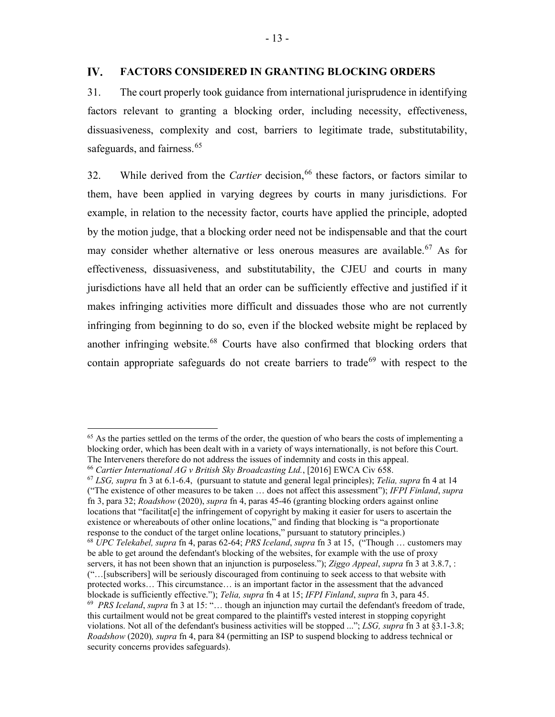### <span id="page-19-0"></span>IV. **FACTORS CONSIDERED IN GRANTING BLOCKING ORDERS**

<span id="page-19-6"></span>31. The court properly took guidance from international jurisprudence in identifying factors relevant to granting a blocking order, including necessity, effectiveness, dissuasiveness, complexity and cost, barriers to legitimate trade, substitutability, safeguards, and fairness.<sup>[65](#page-19-1)</sup>

<span id="page-19-7"></span>32. While derived from the *Cartier* decision, [66](#page-19-2) these factors, or factors similar to them, have been applied in varying degrees by courts in many jurisdictions. For example, in relation to the necessity factor, courts have applied the principle, adopted by the motion judge, that a blocking order need not be indispensable and that the court may consider whether alternative or less onerous measures are available.<sup>[67](#page-19-3)</sup> As for effectiveness, dissuasiveness, and substitutability, the CJEU and courts in many jurisdictions have all held that an order can be sufficiently effective and justified if it makes infringing activities more difficult and dissuades those who are not currently infringing from beginning to do so, even if the blocked website might be replaced by another infringing website. [68](#page-19-4) Courts have also confirmed that blocking orders that contain appropriate safeguards do not create barriers to trade<sup>[69](#page-19-5)</sup> with respect to the

<span id="page-19-1"></span><sup>&</sup>lt;sup>65</sup> As the parties settled on the terms of the order, the question of who bears the costs of implementing a blocking order, which has been dealt with in a variety of ways internationally, is not before this Court. The Interveners therefore do not address the issues of indemnity and costs in this appeal.

<span id="page-19-2"></span><sup>66</sup> *Cartier International AG v British Sky Broadcasting Ltd.*, [2016] EWCA Civ 658.

<span id="page-19-3"></span><sup>67</sup> *LSG, supra* fn [3](#page-7-2) at 6.1-6.4, (pursuant to statute and general legal principles); *Telia, supra* fn [4](#page-7-7) at 14 ("The existence of other measures to be taken … does not affect this assessment"); *IFPI Finland*, *supra* fn [3,](#page-7-2) para 32; *Roadshow* (2020), *supra* fn [4,](#page-7-7) paras 45-46 (granting blocking orders against online locations that "facilitat[e] the infringement of copyright by making it easier for users to ascertain the existence or whereabouts of other online locations," and finding that blocking is "a proportionate response to the conduct of the target online locations," pursuant to statutory principles.)

<span id="page-19-5"></span><span id="page-19-4"></span><sup>68</sup> *UPC Telekabel, supra* fn [4,](#page-7-7) paras 62-64; *PRS Iceland*, *supra* fn [3](#page-7-2) at 15, ("Though … customers may be able to get around the defendant's blocking of the websites, for example with the use of proxy servers, it has not been shown that an injunction is purposeless."); *Ziggo Appeal*, *supra* fn [3](#page-7-2) at 3.8.7, : ("…[subscribers] will be seriously discouraged from continuing to seek access to that website with protected works… This circumstance… is an important factor in the assessment that the advanced blockade is sufficiently effective."); *Telia, supra* fn [4](#page-7-7) at 15; *IFPI Finland*, *supra* fn [3,](#page-7-2) para 45. 69 *PRS Iceland*, *supra* fn [3](#page-7-2) at 15: "… though an injunction may curtail the defendant's freedom of trade, this curtailment would not be great compared to the plaintiff's vested interest in stopping copyright violations. Not all of the defendant's business activities will be stopped ..."; *LSG, supra* fn [3](#page-7-2) at §3.1-3.8; *Roadshow* (2020)*, supra* fn [4,](#page-7-7) para 84 (permitting an ISP to suspend blocking to address technical or security concerns provides safeguards).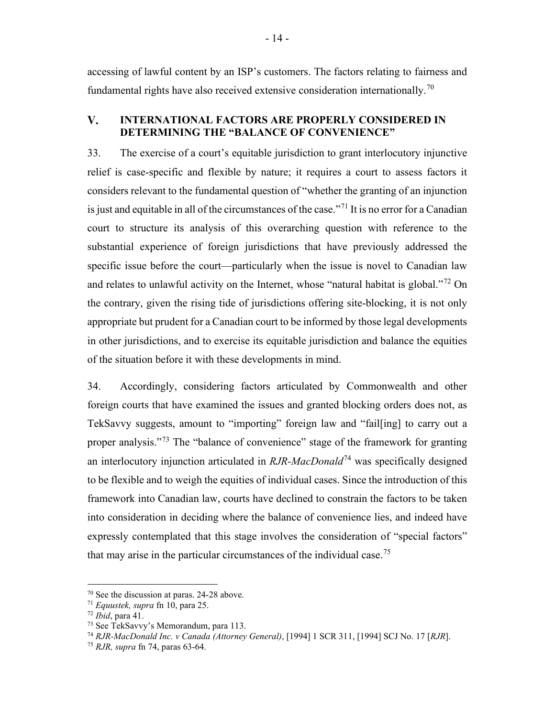accessing of lawful content by an ISP's customers. The factors relating to fairness and fundamental rights have also received extensive consideration internationally.<sup>[70](#page-20-2)</sup>

### <span id="page-20-0"></span>V. **INTERNATIONAL FACTORS ARE PROPERLY CONSIDERED IN DETERMINING THE "BALANCE OF CONVENIENCE"**

33. The exercise of a court's equitable jurisdiction to grant interlocutory injunctive relief is case-specific and flexible by nature; it requires a court to assess factors it considers relevant to the fundamental question of "whether the granting of an injunction is just and equitable in all of the circumstances of the case.<sup>"[71](#page-20-3)</sup> It is no error for a Canadian court to structure its analysis of this overarching question with reference to the substantial experience of foreign jurisdictions that have previously addressed the specific issue before the court—particularly when the issue is novel to Canadian law and relates to unlawful activity on the Internet, whose "natural habitat is global."[72](#page-20-4) On the contrary, given the rising tide of jurisdictions offering site-blocking, it is not only appropriate but prudent for a Canadian court to be informed by those legal developments in other jurisdictions, and to exercise its equitable jurisdiction and balance the equities of the situation before it with these developments in mind.

<span id="page-20-1"></span>34. Accordingly, considering factors articulated by Commonwealth and other foreign courts that have examined the issues and granted blocking orders does not, as TekSavvy suggests, amount to "importing" foreign law and "fail[ing] to carry out a proper analysis."<sup>[73](#page-20-5)</sup> The "balance of convenience" stage of the framework for granting an interlocutory injunction articulated in *RJR-MacDonald*[74](#page-20-6) was specifically designed to be flexible and to weigh the equities of individual cases. Since the introduction of this framework into Canadian law, courts have declined to constrain the factors to be taken into consideration in deciding where the balance of convenience lies, and indeed have expressly contemplated that this stage involves the consideration of "special factors" that may arise in the particular circumstances of the individual case.<sup>[75](#page-20-7)</sup>

<span id="page-20-2"></span><sup>70</sup> See the discussion at paras. [24](#page-17-8)[-28](#page-18-5) above.

<span id="page-20-3"></span><sup>71</sup> *Equustek, supra* fn [10,](#page-9-1) para 25.

<span id="page-20-4"></span><sup>72</sup> *Ibid*, para 41.

<span id="page-20-5"></span><sup>73</sup> See TekSavvy's Memorandum, para 113.

<span id="page-20-6"></span><sup>74</sup> *RJR-MacDonald Inc. v Canada (Attorney General)*, [1994] 1 SCR 311, [1994] SCJ No. 17 [*RJR*].

<span id="page-20-7"></span><sup>75</sup> *RJR, supra* fn [74,](#page-20-1) paras 63-64.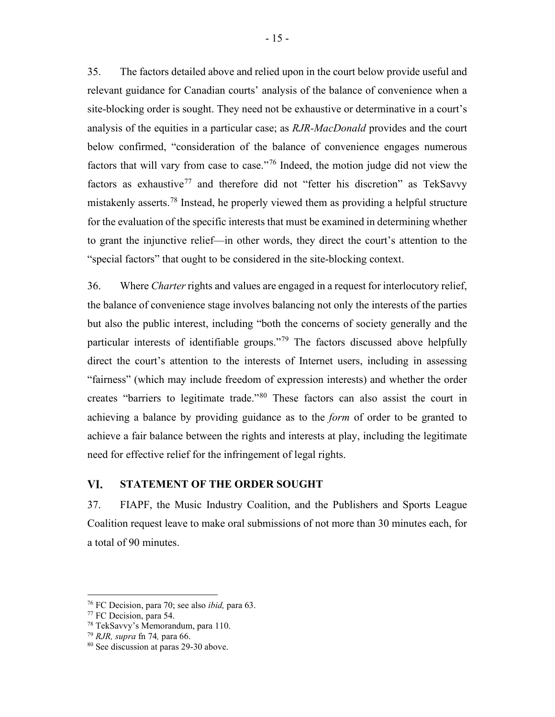35. The factors detailed above and relied upon in the court below provide useful and relevant guidance for Canadian courts' analysis of the balance of convenience when a site-blocking order is sought. They need not be exhaustive or determinative in a court's analysis of the equities in a particular case; as *RJR-MacDonald* provides and the court below confirmed, "consideration of the balance of convenience engages numerous factors that will vary from case to case."[76](#page-21-1) Indeed, the motion judge did not view the factors as exhaustive<sup>[77](#page-21-2)</sup> and therefore did not "fetter his discretion" as TekSavvy mistakenly asserts.[78](#page-21-3) Instead, he properly viewed them as providing a helpful structure for the evaluation of the specific interests that must be examined in determining whether to grant the injunctive relief—in other words, they direct the court's attention to the "special factors" that ought to be considered in the site-blocking context.

36. Where *Charter* rights and values are engaged in a request for interlocutory relief, the balance of convenience stage involves balancing not only the interests of the parties but also the public interest, including "both the concerns of society generally and the particular interests of identifiable groups."<sup>[79](#page-21-4)</sup> The factors discussed above helpfully direct the court's attention to the interests of Internet users, including in assessing "fairness" (which may include freedom of expression interests) and whether the order creates "barriers to legitimate trade."[80](#page-21-5) These factors can also assist the court in achieving a balance by providing guidance as to the *form* of order to be granted to achieve a fair balance between the rights and interests at play, including the legitimate need for effective relief for the infringement of legal rights.

### <span id="page-21-0"></span>VI. **STATEMENT OF THE ORDER SOUGHT**

37. FIAPF, the Music Industry Coalition, and the Publishers and Sports League Coalition request leave to make oral submissions of not more than 30 minutes each, for a total of 90 minutes.

<span id="page-21-1"></span><sup>76</sup> FC Decision, para 70; see also *ibid,* para 63.

<span id="page-21-2"></span><sup>77</sup> FC Decision, para 54.

<span id="page-21-3"></span><sup>78</sup> TekSavvy's Memorandum, para 110.

<span id="page-21-4"></span><sup>79</sup> *RJR, supra* fn [74](#page-20-1)*,* para 66.

<span id="page-21-5"></span><sup>80</sup> See discussion at paras [29](#page-19-6)[-30](#page-19-7) above.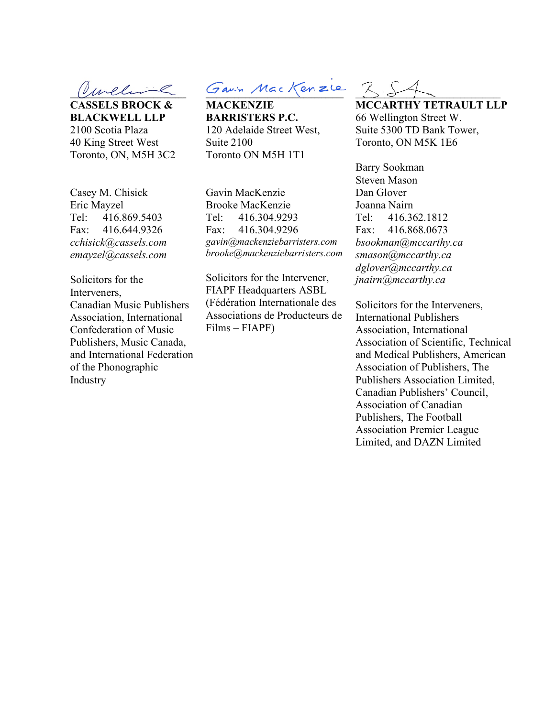**\_\_\_\_\_\_\_\_\_\_\_\_\_\_\_\_\_\_\_\_\_\_\_\_\_\_\_\_\_\_\_\_**

**CASSELS BROCK & BLACKWELL LLP** 2100 Scotia Plaza 40 King Street West Toronto, ON, M5H 3C2

 $G$ avin Mac Kenzie

**MACKENZIE BARRISTERS P.C.** 120 Adelaide Street West, Suite 2100 Toronto ON M5H 1T1

Casey M. Chisick Eric Mayzel Tel: 416.869.5403 Fax: 416.644.9326 *cchisick@cassels.com emayzel@cassels.com*

Solicitors for the Interveners, Canadian Music Publishers Association, International Confederation of Music Publishers, Music Canada, and International Federation of the Phonographic Industry

Gavin MacKenzie Brooke MacKenzie Tel: 416.304.9293 Fax: 416.304.9296 *gavin@mackenziebarristers.com brooke@mackenziebarristers.com*

Solicitors for the Intervener, FIAPF Headquarters ASBL (Fédération Internationale des Associations de Producteurs de Films – FIAPF)

 $Z, S$ 

**MCCARTHY TETRAULT LLP** 66 Wellington Street W. Suite 5300 TD Bank Tower, Toronto, ON M5K 1E6

Barry Sookman Steven Mason Dan Glover Joanna Nairn Tel: 416.362.1812 Fax: 416.868.0673 *bsookman@mccarthy.ca smason@mccarthy.ca dglover@mccarthy.ca jnairn@mccarthy.ca* 

Solicitors for the Interveners, International Publishers Association, International Association of Scientific, Technical and Medical Publishers, American Association of Publishers, The Publishers Association Limited, Canadian Publishers' Council, Association of Canadian Publishers, The Football Association Premier League Limited, and DAZN Limited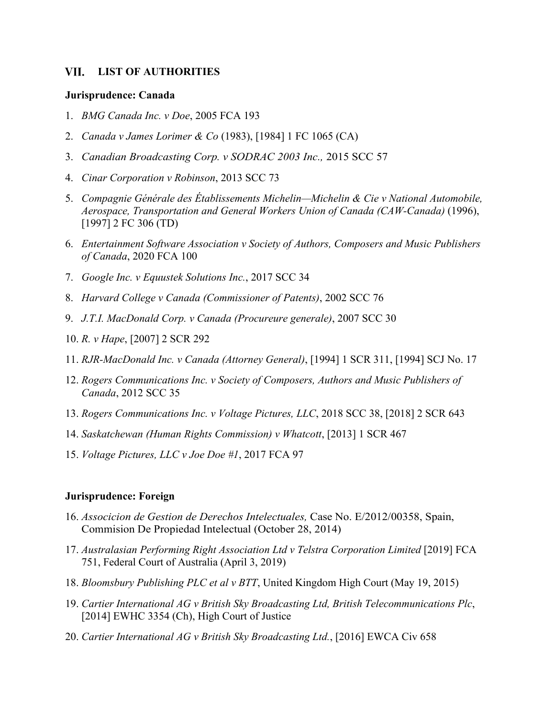### <span id="page-23-0"></span>VII. **LIST OF AUTHORITIES**

## **Jurisprudence: Canada**

- 1. *BMG Canada Inc. v Doe*, 2005 FCA 193
- 2. *Canada v James Lorimer & Co* (1983), [1984] 1 FC 1065 (CA)
- 3. *Canadian Broadcasting Corp. v SODRAC 2003 Inc.,* 2015 SCC 57
- 4. *Cinar Corporation v Robinson*, 2013 SCC 73
- 5. *Compagnie Générale des Établissements Michelin—Michelin & Cie v National Automobile, Aerospace, Transportation and General Workers Union of Canada (CAW-Canada)* (1996), [1997] 2 FC 306 (TD)
- 6. *Entertainment Software Association v Society of Authors, Composers and Music Publishers of Canada*, 2020 FCA 100
- 7. *Google Inc. v Equustek Solutions Inc.*, 2017 SCC 34
- 8. *Harvard College v Canada (Commissioner of Patents)*, 2002 SCC 76
- 9. *J.T.I. MacDonald Corp. v Canada (Procureure generale)*, 2007 SCC 30
- 10. *R. v Hape*, [2007] 2 SCR 292
- 11. *RJR-MacDonald Inc. v Canada (Attorney General)*, [1994] 1 SCR 311, [1994] SCJ No. 17
- 12. *Rogers Communications Inc. v Society of Composers, Authors and Music Publishers of Canada*, 2012 SCC 35
- 13. *Rogers Communications Inc. v Voltage Pictures, LLC*, 2018 SCC 38, [2018] 2 SCR 643
- 14. *Saskatchewan (Human Rights Commission) v Whatcott*, [2013] 1 SCR 467
- 15. *Voltage Pictures, LLC v Joe Doe #1*, 2017 FCA 97

### **Jurisprudence: Foreign**

- 16. *Associcion de Gestion de Derechos Intelectuales,* Case No. E/2012/00358, Spain, Commision De Propiedad Intelectual (October 28, 2014)
- 17. *Australasian Performing Right Association Ltd v Telstra Corporation Limited* [2019] FCA 751, Federal Court of Australia (April 3, 2019)
- 18. *Bloomsbury Publishing PLC et al v BTT*, United Kingdom High Court (May 19, 2015)
- 19. *Cartier International AG v British Sky Broadcasting Ltd, British Telecommunications Plc*, [2014] EWHC 3354 (Ch), High Court of Justice
- 20. *Cartier International AG v British Sky Broadcasting Ltd.*, [2016] EWCA Civ 658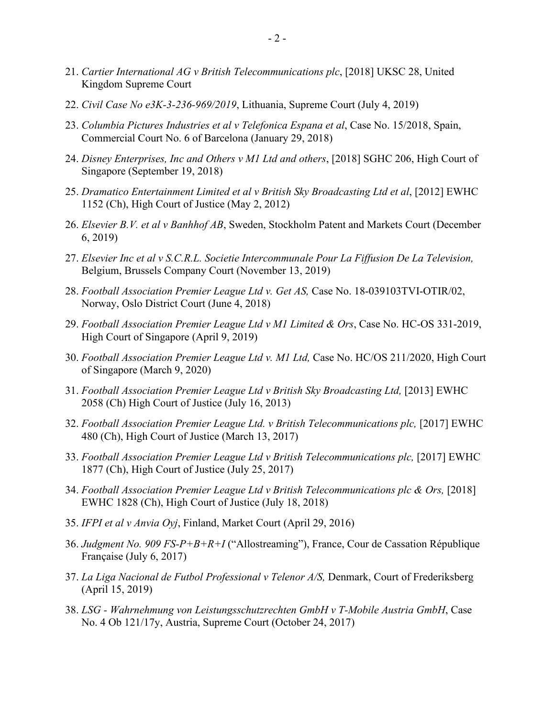- 21. *Cartier International AG v British Telecommunications plc*, [2018] UKSC 28, United Kingdom Supreme Court
- 22. *Civil Case No e3K-3-236-969/2019*, Lithuania, Supreme Court (July 4, 2019)
- 23. *Columbia Pictures Industries et al v Telefonica Espana et al*, Case No. 15/2018, Spain, Commercial Court No. 6 of Barcelona (January 29, 2018)
- 24. *Disney Enterprises, Inc and Others v M1 Ltd and others*, [2018] SGHC 206, High Court of Singapore (September 19, 2018)
- 25. *Dramatico Entertainment Limited et al v British Sky Broadcasting Ltd et al*, [2012] EWHC 1152 (Ch), High Court of Justice (May 2, 2012)
- 26. *Elsevier B.V. et al v Banhhof AB*, Sweden, Stockholm Patent and Markets Court (December 6, 2019)
- 27. *Elsevier Inc et al v S.C.R.L. Societie Intercommunale Pour La Fiffusion De La Television,*  Belgium, Brussels Company Court (November 13, 2019)
- 28. *Football Association Premier League Ltd v. Get AS,* Case No. 18-039103TVI-OTIR/02, Norway, Oslo District Court (June 4, 2018)
- 29. *Football Association Premier League Ltd v M1 Limited & Ors*, Case No. HC-OS 331-2019, High Court of Singapore (April 9, 2019)
- 30. *Football Association Premier League Ltd v. M1 Ltd,* Case No. HC/OS 211/2020, High Court of Singapore (March 9, 2020)
- 31. *Football Association Premier League Ltd v British Sky Broadcasting Ltd,* [2013] EWHC 2058 (Ch) High Court of Justice (July 16, 2013)
- 32. *Football Association Premier League Ltd. v British Telecommunications plc,* [2017] EWHC 480 (Ch), High Court of Justice (March 13, 2017)
- 33. *Football Association Premier League Ltd v British Telecommunications plc,* [2017] EWHC 1877 (Ch), High Court of Justice (July 25, 2017)
- 34. *Football Association Premier League Ltd v British Telecommunications plc & Ors,* [2018] EWHC 1828 (Ch), High Court of Justice (July 18, 2018)
- 35. *IFPI et al v Anvia Oyj*, Finland, Market Court (April 29, 2016)
- 36. *Judgment No. 909 FS-P+B+R+I* ("Allostreaming"), France, Cour de Cassation République Française (July 6, 2017)
- 37. *La Liga Nacional de Futbol Professional v Telenor A/S,* Denmark, Court of Frederiksberg (April 15, 2019)
- 38. *LSG - Wahrnehmung von Leistungsschutzrechten GmbH v T-Mobile Austria GmbH*, Case No. 4 Ob 121/17y, Austria, Supreme Court (October 24, 2017)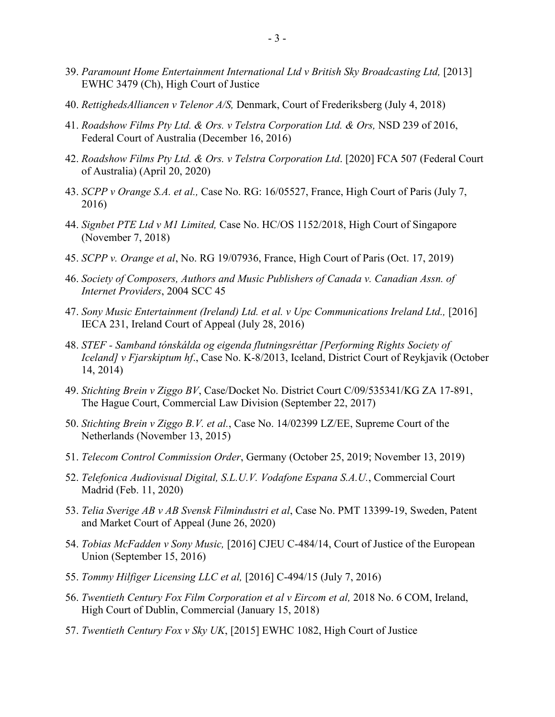- 39. *Paramount Home Entertainment International Ltd v British Sky Broadcasting Ltd,* [2013] EWHC 3479 (Ch), High Court of Justice
- 40. *RettighedsAlliancen v Telenor A/S,* Denmark, Court of Frederiksberg (July 4, 2018)
- 41. *Roadshow Films Pty Ltd. & Ors. v Telstra Corporation Ltd. & Ors,* NSD 239 of 2016, Federal Court of Australia (December 16, 2016)
- 42. *Roadshow Films Pty Ltd. & Ors. v Telstra Corporation Ltd*. [2020] FCA 507 (Federal Court of Australia) (April 20, 2020)
- 43. *SCPP v Orange S.A. et al.,* Case No. RG: 16/05527, France, High Court of Paris (July 7, 2016)
- 44. *Signbet PTE Ltd v M1 Limited,* Case No. HC/OS 1152/2018, High Court of Singapore (November 7, 2018)
- 45. *SCPP v. Orange et al*, No. RG 19/07936, France, High Court of Paris (Oct. 17, 2019)
- 46. *Society of Composers, Authors and Music Publishers of Canada v. Canadian Assn. of Internet Providers*, 2004 SCC 45
- 47. *Sony Music Entertainment (Ireland) Ltd. et al. v Upc Communications Ireland Ltd.*, [2016] IECA 231, Ireland Court of Appeal (July 28, 2016)
- 48. *STEF - Samband tónskálda og eigenda flutningsréttar [Performing Rights Society of Iceland] v Fjarskiptum hf*., Case No. K-8/2013, Iceland, District Court of Reykjavik (October 14, 2014)
- 49. *Stichting Brein v Ziggo BV*, Case/Docket No. District Court C/09/535341/KG ZA 17-891, The Hague Court, Commercial Law Division (September 22, 2017)
- 50. *Stichting Brein v Ziggo B.V. et al.*, Case No. 14/02399 LZ/EE, Supreme Court of the Netherlands (November 13, 2015)
- 51. *Telecom Control Commission Order*, Germany (October 25, 2019; November 13, 2019)
- 52. *Telefonica Audiovisual Digital, S.L.U.V. Vodafone Espana S.A.U.*, Commercial Court Madrid (Feb. 11, 2020)
- 53. *Telia Sverige AB v AB Svensk Filmindustri et al*, Case No. PMT 13399-19, Sweden, Patent and Market Court of Appeal (June 26, 2020)
- 54. *Tobias McFadden v Sony Music,* [2016] CJEU C‑484/14, Court of Justice of the European Union (September 15, 2016)
- 55. *Tommy Hilfiger Licensing LLC et al,* [2016] C-494/15 (July 7, 2016)
- 56. *Twentieth Century Fox Film Corporation et al v Eircom et al,* 2018 No. 6 COM, Ireland, High Court of Dublin, Commercial (January 15, 2018)
- 57. *Twentieth Century Fox v Sky UK*, [2015] EWHC 1082, High Court of Justice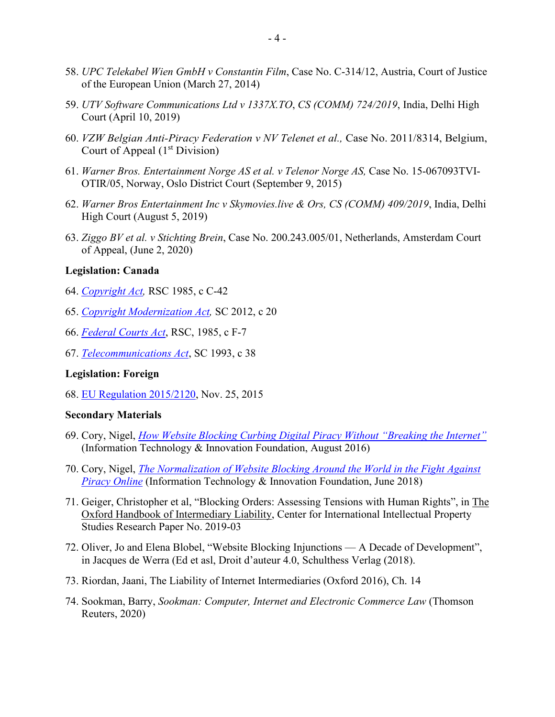- 58. *UPC Telekabel Wien GmbH v Constantin Film*, Case No. C‑314/12, Austria, Court of Justice of the European Union (March 27, 2014)
- 59. *UTV Software Communications Ltd v 1337X.TO*, *CS (COMM) 724/2019*, India, Delhi High Court (April 10, 2019)
- 60. *VZW Belgian Anti-Piracy Federation v NV Telenet et al.,* Case No. 2011/8314, Belgium, Court of Appeal  $(1<sup>st</sup> Division)$
- 61. *Warner Bros. Entertainment Norge AS et al. v Telenor Norge AS,* Case No. 15-067093TVI-OTIR/05, Norway, Oslo District Court (September 9, 2015)
- 62. *Warner Bros Entertainment Inc v Skymovies.live & Ors, CS (COMM) 409/2019*, India, Delhi High Court (August 5, 2019)
- 63. *Ziggo BV et al. v Stichting Brein*, Case No. 200.243.005/01, Netherlands, Amsterdam Court of Appeal, (June 2, 2020)

## **Legislation: Canada**

- 64. *[Copyright Act,](https://www.canlii.org/en/ca/laws/stat/rsc-1985-c-c-42/latest/rsc-1985-c-c-42.html?autocompleteStr=Copyright%20Act%2C%20RSC%201985%2C%20c%20C-42%20&autocompletePos=1)* RSC 1985, c C-42
- 65. *[Copyright Modernization Act,](https://www.canlii.org/en/ca/laws/astat/sc-2012-c-20/latest/sc-2012-c-20.html?autocompleteStr=Copyright%20Modernization%20Act%2C%20SC%202012%2C%20c%2020&autocompletePos=1)* SC 2012, c 20
- 66. *[Federal Courts Act](https://www.canlii.org/en/ca/laws/stat/rsc-1985-c-f-7/latest/rsc-1985-c-f-7.html?autocompleteStr=Federal%20Courts%20Act%2C%20RSC%2C%201985%2C%20c%20F-7&autocompletePos=3)*, RSC, 1985, c F-7
- 67. *[Telecommunications Act](http://canlii.ca/t/7vrz)*, SC 1993, c 38

## **Legislation: Foreign**

68. [EU Regulation 2015/2120,](http://eur-lex.europa.eu/legal-content/EN/TXT/HTML/?uri=CELEX:32015R2120&from=en) Nov. 25, 2015

## **Secondary Materials**

- 69. Cory, Nigel, *[How Website Blocking Curbing Digital Piracy Without "Breaking the Internet"](http://www2.itif.org/2016-website-blocking.pdf?_ga=1.221850136.1203660847.1473936817)* (Information Technology & Innovation Foundation, August 2016)
- 70. Cory, Nigel, *[The Normalization of Website Blocking Around the World in the Fight Against](https://itif.org/publications/2018/06/12/normalization-website-blocking-around-world-fight-against-piracy-online)  [Piracy Online](https://itif.org/publications/2018/06/12/normalization-website-blocking-around-world-fight-against-piracy-online)* (Information Technology & Innovation Foundation, June 2018)
- 71. Geiger, Christopher et al, "Blocking Orders: Assessing Tensions with Human Rights", in The Oxford Handbook of Intermediary Liability, Center for International Intellectual Property Studies Research Paper No. 2019-03
- 72. Oliver, Jo and Elena Blobel, "Website Blocking Injunctions A Decade of Development", in Jacques de Werra (Ed et asl, Droit d'auteur 4.0, Schulthess Verlag (2018).
- 73. Riordan, Jaani, The Liability of Internet Intermediaries (Oxford 2016), Ch. 14
- 74. Sookman, Barry, *Sookman: Computer, Internet and Electronic Commerce Law* (Thomson Reuters, 2020)